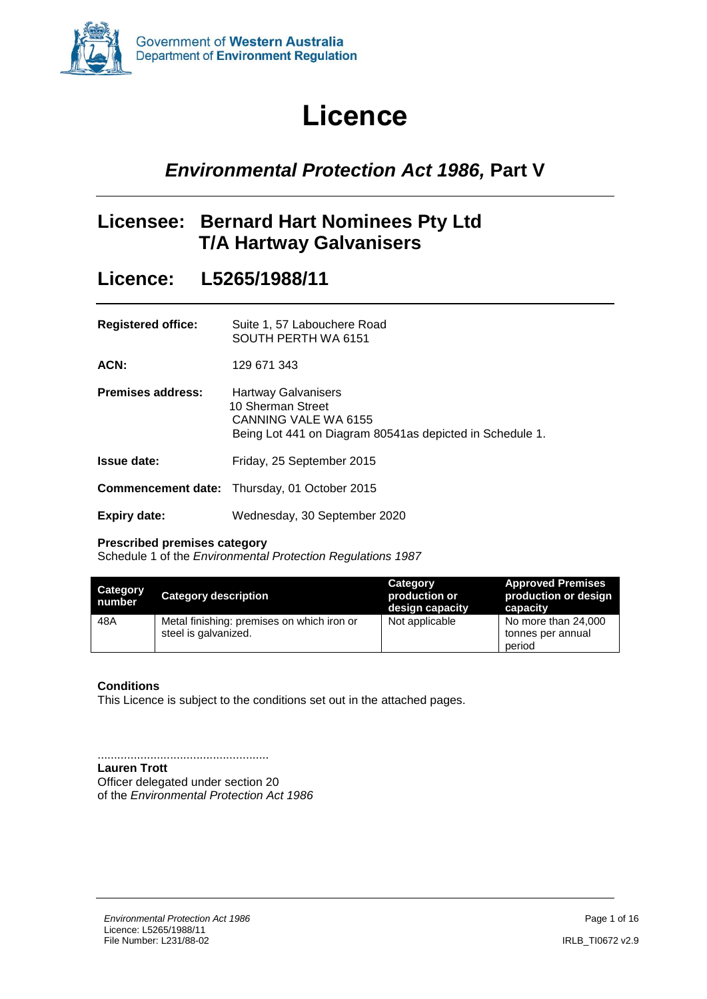<span id="page-0-0"></span>

# **Licence**

# *Environmental Protection Act 1986,* **Part V**

## **Licensee: Bernard Hart Nominees Pty Ltd T/A Hartway Galvanisers**

### **Licence: L5265/1988/11**

| <b>Registered office:</b> | Suite 1, 57 Labouchere Road |
|---------------------------|-----------------------------|
|                           | SOUTH PERTH WA 6151         |
|                           |                             |

**ACN:** 129 671 343

| <b>Premises address:</b> | <b>Hartway Galvanisers</b>                                |
|--------------------------|-----------------------------------------------------------|
|                          | 10 Sherman Street                                         |
|                          | CANNING VALE WA 6155                                      |
|                          | Being Lot 441 on Diagram 80541 as depicted in Schedule 1. |
|                          |                                                           |

- **Issue date:** Friday, 25 September 2015
- **Commencement date:** Thursday, 01 October 2015
- **Expiry date:** Wednesday, 30 September 2020

#### **Prescribed premises category**

Schedule 1 of the *Environmental Protection Regulations 1987*

| <b>Category</b><br>number | <b>Category description</b>                                        | Category<br>production or p<br>design capacity | <b>Approved Premises</b><br>production or design<br>capacity |
|---------------------------|--------------------------------------------------------------------|------------------------------------------------|--------------------------------------------------------------|
| 48A                       | Metal finishing: premises on which iron or<br>steel is galvanized. | Not applicable                                 | No more than 24,000<br>tonnes per annual<br>period           |

#### **Conditions**

This Licence is subject to the conditions set out in the attached pages.

....................................................

**Lauren Trott** Officer delegated under section 20 of the *Environmental Protection Act 1986*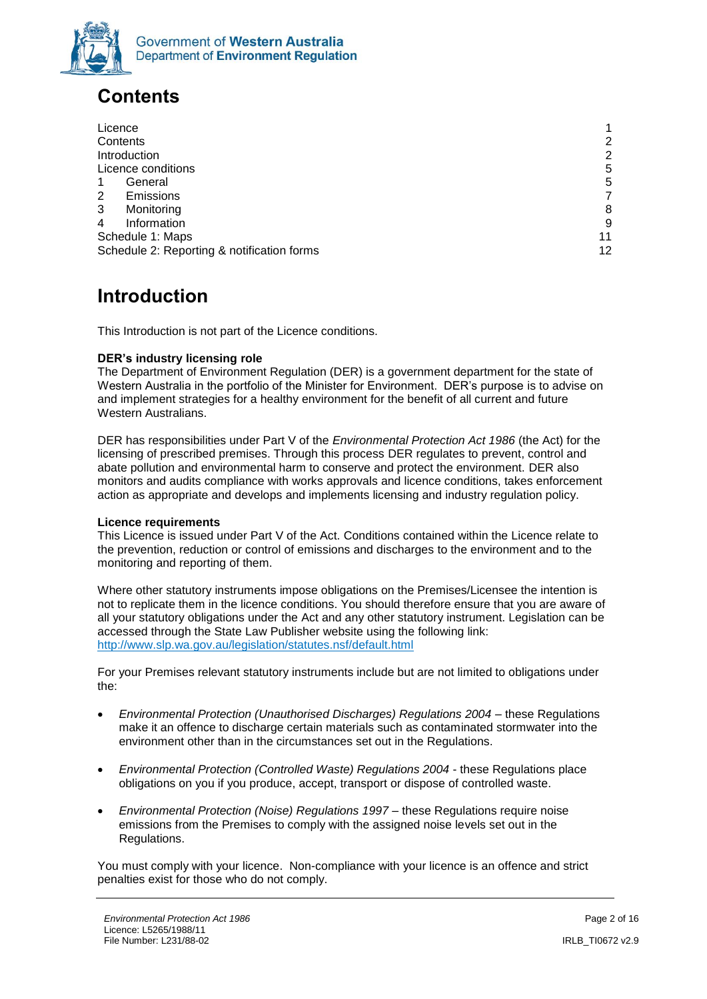

# <span id="page-1-0"></span>**Contents**

| Licence                                    |                |
|--------------------------------------------|----------------|
| Contents                                   | $\overline{2}$ |
| Introduction                               | $\overline{2}$ |
| Licence conditions                         | 5              |
| General                                    | 5              |
| 2<br><b>Emissions</b>                      | 7              |
| 3<br>Monitoring                            | 8              |
| Information<br>4                           | 9              |
| Schedule 1: Maps                           | 11             |
| Schedule 2: Reporting & notification forms | 12             |

# <span id="page-1-1"></span>**Introduction**

This Introduction is not part of the Licence conditions.

#### **DER's industry licensing role**

The Department of Environment Regulation (DER) is a government department for the state of Western Australia in the portfolio of the Minister for Environment. DER's purpose is to advise on and implement strategies for a healthy environment for the benefit of all current and future Western Australians.

DER has responsibilities under Part V of the *Environmental Protection Act 1986* (the Act) for the licensing of prescribed premises. Through this process DER regulates to prevent, control and abate pollution and environmental harm to conserve and protect the environment. DER also monitors and audits compliance with works approvals and licence conditions, takes enforcement action as appropriate and develops and implements licensing and industry regulation policy.

#### **Licence requirements**

This Licence is issued under Part V of the Act. Conditions contained within the Licence relate to the prevention, reduction or control of emissions and discharges to the environment and to the monitoring and reporting of them.

Where other statutory instruments impose obligations on the Premises/Licensee the intention is not to replicate them in the licence conditions. You should therefore ensure that you are aware of all your statutory obligations under the Act and any other statutory instrument. Legislation can be accessed through the State Law Publisher website using the following link: <http://www.slp.wa.gov.au/legislation/statutes.nsf/default.html>

For your Premises relevant statutory instruments include but are not limited to obligations under the:

- *Environmental Protection (Unauthorised Discharges) Regulations 2004* these Regulations make it an offence to discharge certain materials such as contaminated stormwater into the environment other than in the circumstances set out in the Regulations.
- *Environmental Protection (Controlled Waste) Regulations 2004* these Regulations place obligations on you if you produce, accept, transport or dispose of controlled waste.
- *Environmental Protection (Noise) Regulations 1997*  these Regulations require noise emissions from the Premises to comply with the assigned noise levels set out in the Regulations.

You must comply with your licence. Non-compliance with your licence is an offence and strict penalties exist for those who do not comply.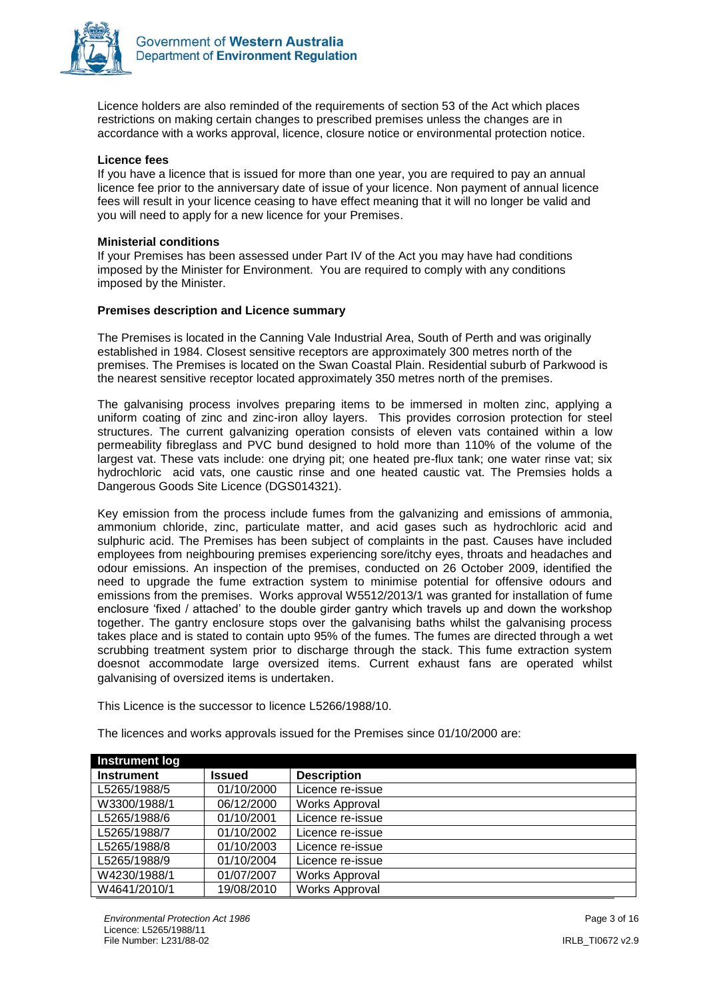

Licence holders are also reminded of the requirements of section 53 of the Act which places restrictions on making certain changes to prescribed premises unless the changes are in accordance with a works approval, licence, closure notice or environmental protection notice.

#### **Licence fees**

If you have a licence that is issued for more than one year, you are required to pay an annual licence fee prior to the anniversary date of issue of your licence. Non payment of annual licence fees will result in your licence ceasing to have effect meaning that it will no longer be valid and you will need to apply for a new licence for your Premises.

#### **Ministerial conditions**

If your Premises has been assessed under Part IV of the Act you may have had conditions imposed by the Minister for Environment. You are required to comply with any conditions imposed by the Minister.

#### **Premises description and Licence summary**

The Premises is located in the Canning Vale Industrial Area, South of Perth and was originally established in 1984. Closest sensitive receptors are approximately 300 metres north of the premises. The Premises is located on the Swan Coastal Plain. Residential suburb of Parkwood is the nearest sensitive receptor located approximately 350 metres north of the premises.

The galvanising process involves preparing items to be immersed in molten zinc, applying a uniform coating of zinc and zinc-iron alloy layers. This provides corrosion protection for steel structures. The current galvanizing operation consists of eleven vats contained within a low permeability fibreglass and PVC bund designed to hold more than 110% of the volume of the largest vat. These vats include: one drying pit; one heated pre-flux tank; one water rinse vat; six hydrochloric acid vats, one caustic rinse and one heated caustic vat. The Premsies holds a Dangerous Goods Site Licence (DGS014321).

Key emission from the process include fumes from the galvanizing and emissions of ammonia, ammonium chloride, zinc, particulate matter, and acid gases such as hydrochloric acid and sulphuric acid. The Premises has been subject of complaints in the past. Causes have included employees from neighbouring premises experiencing sore/itchy eyes, throats and headaches and odour emissions. An inspection of the premises, conducted on 26 October 2009, identified the need to upgrade the fume extraction system to minimise potential for offensive odours and emissions from the premises. Works approval W5512/2013/1 was granted for installation of fume enclosure 'fixed / attached' to the double girder gantry which travels up and down the workshop together. The gantry enclosure stops over the galvanising baths whilst the galvanising process takes place and is stated to contain upto 95% of the fumes. The fumes are directed through a wet scrubbing treatment system prior to discharge through the stack. This fume extraction system doesnot accommodate large oversized items. Current exhaust fans are operated whilst galvanising of oversized items is undertaken.

This Licence is the successor to licence L5266/1988/10.

| <b>Instrument log</b> |            |                       |
|-----------------------|------------|-----------------------|
| <b>Instrument</b>     | Issued     | <b>Description</b>    |
| L5265/1988/5          | 01/10/2000 | Licence re-issue      |
| W3300/1988/1          | 06/12/2000 | <b>Works Approval</b> |
| L5265/1988/6          | 01/10/2001 | Licence re-issue      |
| L5265/1988/7          | 01/10/2002 | Licence re-issue      |
| L5265/1988/8          | 01/10/2003 | Licence re-issue      |
| L5265/1988/9          | 01/10/2004 | Licence re-issue      |
| W4230/1988/1          | 01/07/2007 | <b>Works Approval</b> |
| W4641/2010/1          | 19/08/2010 | <b>Works Approval</b> |

The licences and works approvals issued for the Premises since 01/10/2000 are: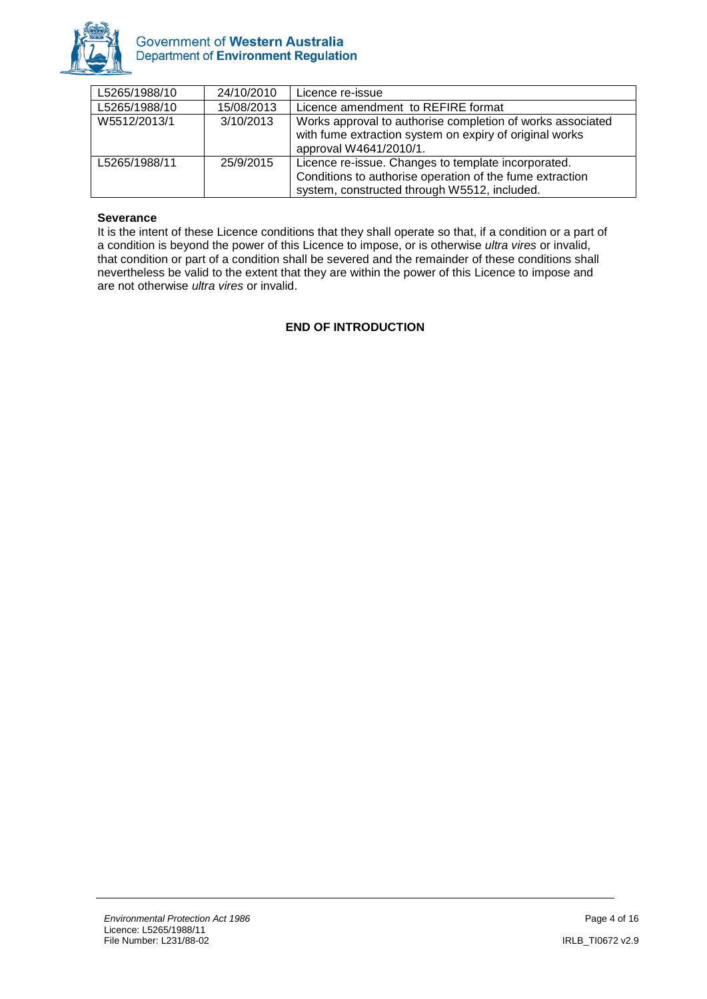

| L5265/1988/10 | 24/10/2010 | Licence re-issue                                                                                                                                                |
|---------------|------------|-----------------------------------------------------------------------------------------------------------------------------------------------------------------|
| L5265/1988/10 | 15/08/2013 | Licence amendment to REFIRE format                                                                                                                              |
| W5512/2013/1  | 3/10/2013  | Works approval to authorise completion of works associated<br>with fume extraction system on expiry of original works<br>approval W4641/2010/1.                 |
| L5265/1988/11 | 25/9/2015  | Licence re-issue. Changes to template incorporated.<br>Conditions to authorise operation of the fume extraction<br>system, constructed through W5512, included. |

#### **Severance**

It is the intent of these Licence conditions that they shall operate so that, if a condition or a part of a condition is beyond the power of this Licence to impose, or is otherwise *ultra vires* or invalid, that condition or part of a condition shall be severed and the remainder of these conditions shall nevertheless be valid to the extent that they are within the power of this Licence to impose and are not otherwise *ultra vires* or invalid.

#### **END OF INTRODUCTION**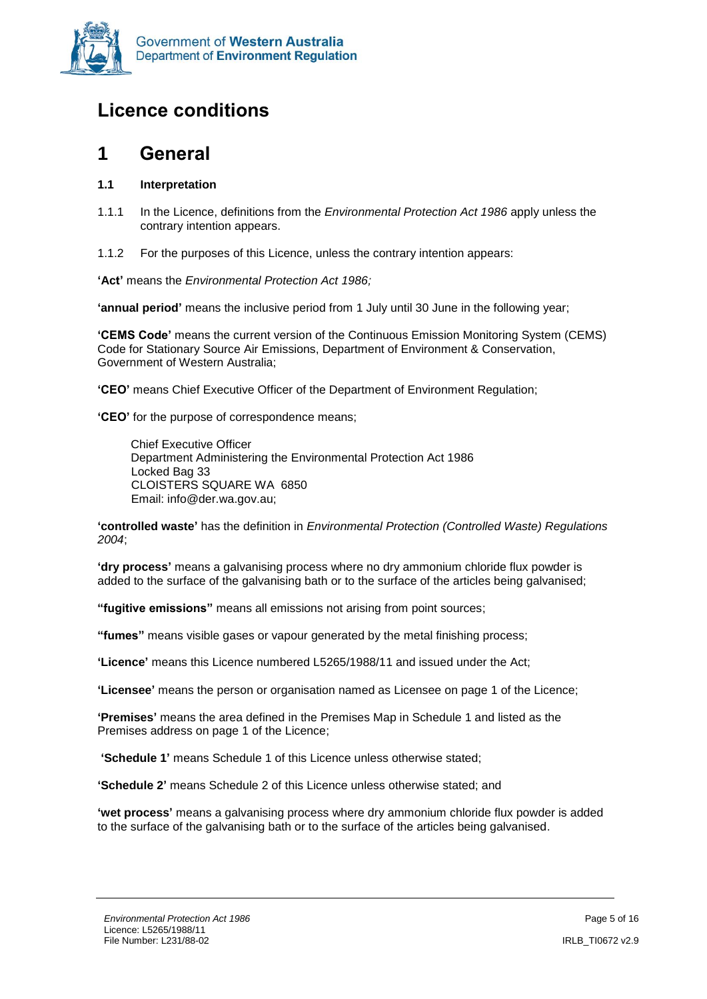

# <span id="page-4-0"></span>**Licence conditions**

### <span id="page-4-1"></span>**1 General**

#### **1.1 Interpretation**

- 1.1.1 In the Licence, definitions from the *Environmental Protection Act 1986* apply unless the contrary intention appears.
- 1.1.2 For the purposes of this Licence, unless the contrary intention appears:

**'Act'** means the *Environmental Protection Act 1986;*

**'annual period'** means the inclusive period from 1 July until 30 June in the following year;

**'CEMS Code'** means the current version of the Continuous Emission Monitoring System (CEMS) Code for Stationary Source Air Emissions, Department of Environment & Conservation, Government of Western Australia;

**'CEO'** means Chief Executive Officer of the Department of Environment Regulation;

**'CEO'** for the purpose of correspondence means;

Chief Executive Officer Department Administering the Environmental Protection Act 1986 Locked Bag 33 CLOISTERS SQUARE WA 6850 Email: info@der.wa.gov.au;

**'controlled waste'** has the definition in *Environmental Protection (Controlled Waste) Regulations 2004*;

**'dry process'** means a galvanising process where no dry ammonium chloride flux powder is added to the surface of the galvanising bath or to the surface of the articles being galvanised;

**"fugitive emissions"** means all emissions not arising from point sources;

**"fumes"** means visible gases or vapour generated by the metal finishing process;

**'Licence'** means this Licence numbered L5265/1988/11 and issued under the Act;

**'Licensee'** means the person or organisation named as Licensee on page 1 of the Licence;

**'Premises'** means the area defined in the Premises Map in Schedule 1 and listed as the Premises address on page 1 of the Licence;

**'Schedule 1'** means Schedule 1 of this Licence unless otherwise stated;

**'Schedule 2'** means Schedule 2 of this Licence unless otherwise stated; and

**'wet process'** means a galvanising process where dry ammonium chloride flux powder is added to the surface of the galvanising bath or to the surface of the articles being galvanised.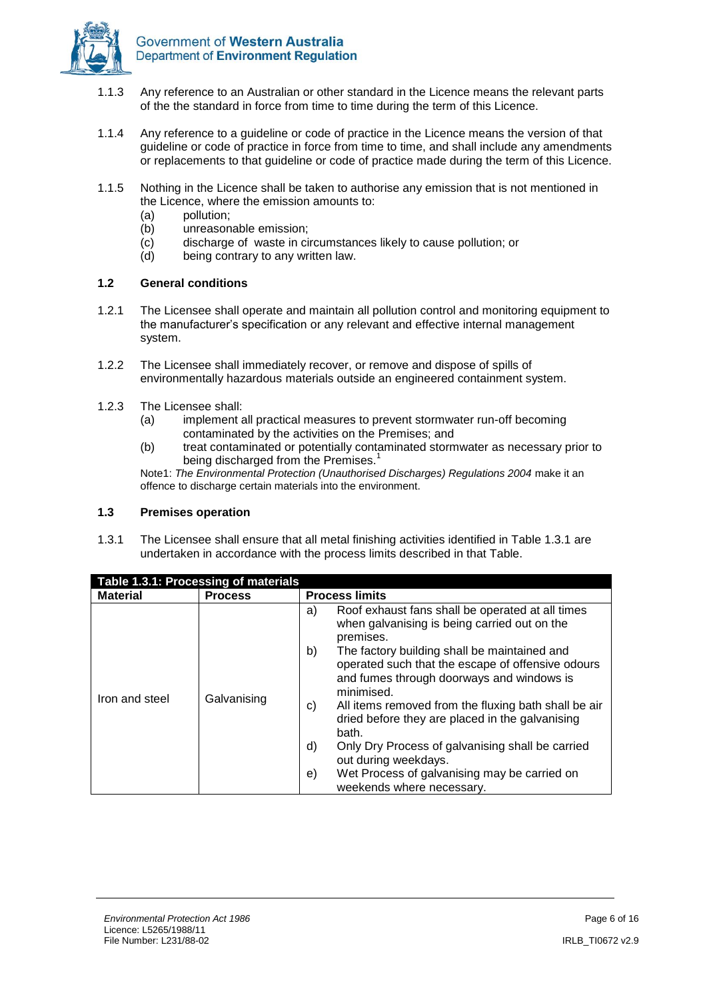

- 1.1.3 Any reference to an Australian or other standard in the Licence means the relevant parts of the the standard in force from time to time during the term of this Licence.
- 1.1.4 Any reference to a guideline or code of practice in the Licence means the version of that guideline or code of practice in force from time to time, and shall include any amendments or replacements to that guideline or code of practice made during the term of this Licence.
- 1.1.5 Nothing in the Licence shall be taken to authorise any emission that is not mentioned in the Licence, where the emission amounts to:
	- (a) pollution;
	- (b) unreasonable emission;
	- (c) discharge of waste in circumstances likely to cause pollution; or
	- (d) being contrary to any written law.

#### **1.2 General conditions**

- 1.2.1 The Licensee shall operate and maintain all pollution control and monitoring equipment to the manufacturer's specification or any relevant and effective internal management system.
- 1.2.2 The Licensee shall immediately recover, or remove and dispose of spills of environmentally hazardous materials outside an engineered containment system.
- 1.2.3 The Licensee shall:
	- (a) implement all practical measures to prevent stormwater run-off becoming contaminated by the activities on the Premises; and
	- (b) treat contaminated or potentially contaminated stormwater as necessary prior to being discharged from the Premises.<sup>1</sup>

Note1: *The Environmental Protection (Unauthorised Discharges) Regulations 2004* make it an offence to discharge certain materials into the environment.

#### **1.3 Premises operation**

1.3.1 The Licensee shall ensure that all metal finishing activities identified in Table 1.3.1 are undertaken in accordance with the process limits described in that Table.

| Table 1.3.1: Processing of materials |                |                                                                                                                                                                                                                                                                                                                                                                                                                                                                                                                                                                                          |  |  |
|--------------------------------------|----------------|------------------------------------------------------------------------------------------------------------------------------------------------------------------------------------------------------------------------------------------------------------------------------------------------------------------------------------------------------------------------------------------------------------------------------------------------------------------------------------------------------------------------------------------------------------------------------------------|--|--|
| <b>Material</b>                      | <b>Process</b> | <b>Process limits</b>                                                                                                                                                                                                                                                                                                                                                                                                                                                                                                                                                                    |  |  |
| Iron and steel                       | Galvanising    | Roof exhaust fans shall be operated at all times<br>a)<br>when galvanising is being carried out on the<br>premises.<br>b)<br>The factory building shall be maintained and<br>operated such that the escape of offensive odours<br>and fumes through doorways and windows is<br>minimised.<br>All items removed from the fluxing bath shall be air<br>C)<br>dried before they are placed in the galvanising<br>bath.<br>Only Dry Process of galvanising shall be carried<br>d)<br>out during weekdays.<br>Wet Process of galvanising may be carried on<br>e)<br>weekends where necessary. |  |  |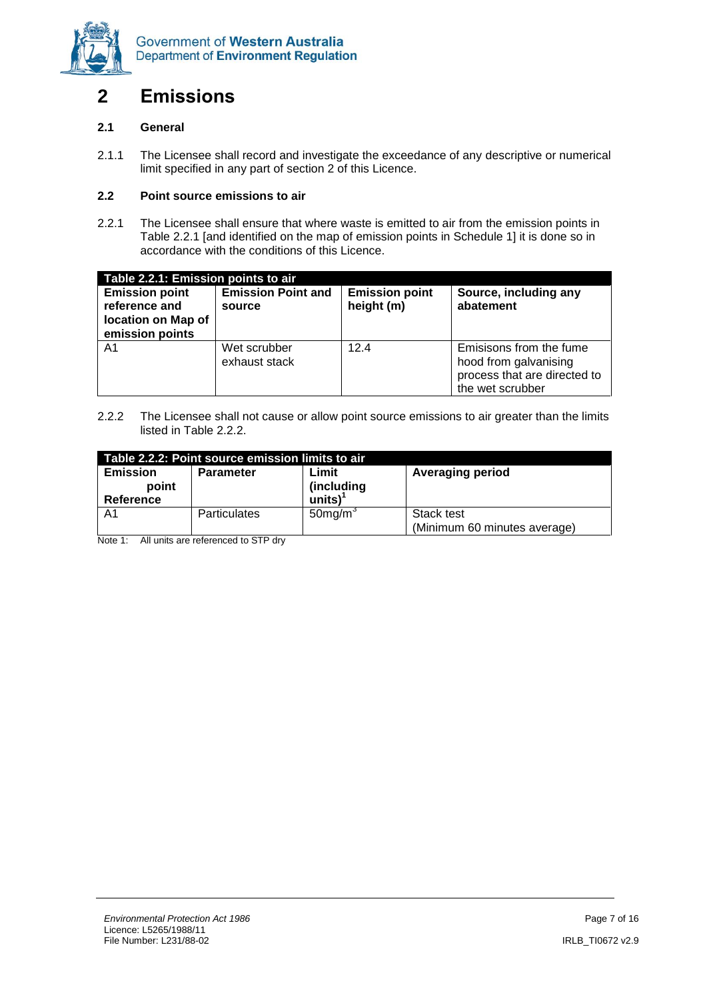

# <span id="page-6-0"></span>**2 Emissions**

#### **2.1 General**

2.1.1 The Licensee shall record and investigate the exceedance of any descriptive or numerical limit specified in any part of section 2 of this Licence.

#### **2.2 Point source emissions to air**

2.2.1 The Licensee shall ensure that where waste is emitted to air from the emission points in Table 2.2.1 [and identified on the map of emission points in Schedule 1] it is done so in accordance with the conditions of this Licence.

| Table 2.2.1: Emission points to air                                             |                                     |                                     |                                                                                                      |  |  |
|---------------------------------------------------------------------------------|-------------------------------------|-------------------------------------|------------------------------------------------------------------------------------------------------|--|--|
| <b>Emission point</b><br>reference and<br>location on Map of<br>emission points | <b>Emission Point and</b><br>source | <b>Emission point</b><br>height (m) | Source, including any<br>abatement                                                                   |  |  |
| A1                                                                              | Wet scrubber<br>exhaust stack       | 12.4                                | Emisisons from the fume<br>hood from galvanising<br>process that are directed to<br>the wet scrubber |  |  |

2.2.2 The Licensee shall not cause or allow point source emissions to air greater than the limits listed in Table 2.2.2.

| Table 2.2.2: Point source emission limits to air  |                                                      |                        |                              |  |  |  |
|---------------------------------------------------|------------------------------------------------------|------------------------|------------------------------|--|--|--|
| <b>Emission</b>                                   | Limit<br><b>Averaging period</b><br><b>Parameter</b> |                        |                              |  |  |  |
| point                                             | (including                                           |                        |                              |  |  |  |
| $\text{units}$ ) <sup>1</sup><br><b>Reference</b> |                                                      |                        |                              |  |  |  |
| A1                                                | <b>Particulates</b>                                  | $50$ mg/m <sup>3</sup> | Stack test                   |  |  |  |
|                                                   |                                                      |                        | (Minimum 60 minutes average) |  |  |  |

Note 1: All units are referenced to STP dry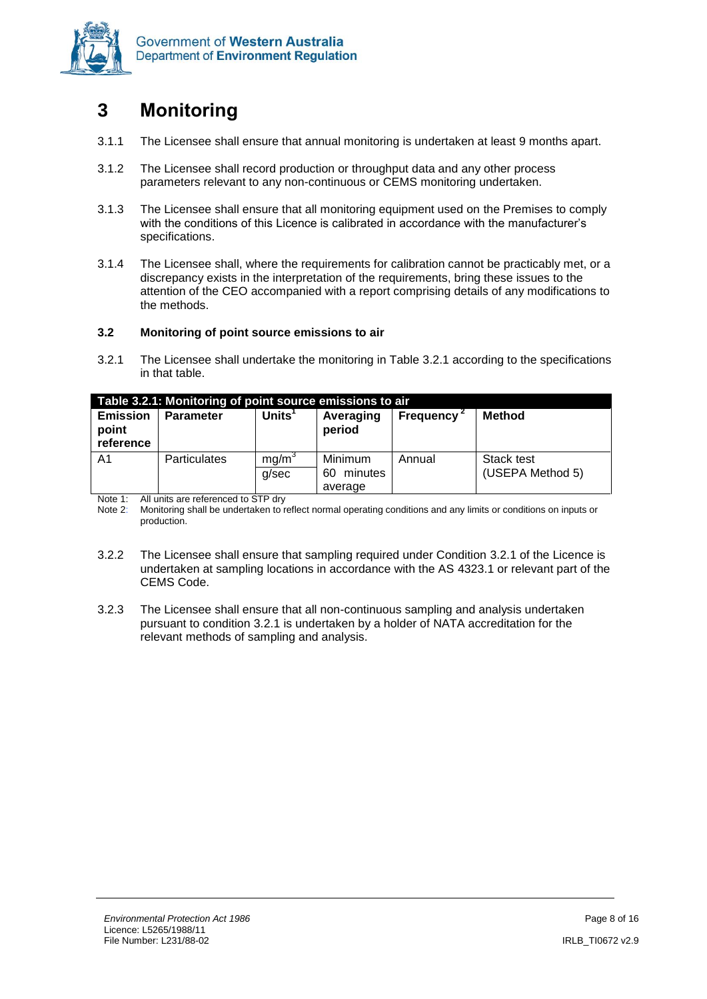

# <span id="page-7-0"></span>**3 Monitoring**

- 3.1.1 The Licensee shall ensure that annual monitoring is undertaken at least 9 months apart.
- 3.1.2 The Licensee shall record production or throughput data and any other process parameters relevant to any non-continuous or CEMS monitoring undertaken.
- 3.1.3 The Licensee shall ensure that all monitoring equipment used on the Premises to comply with the conditions of this Licence is calibrated in accordance with the manufacturer's specifications.
- 3.1.4 The Licensee shall, where the requirements for calibration cannot be practicably met, or a discrepancy exists in the interpretation of the requirements, bring these issues to the attention of the CEO accompanied with a report comprising details of any modifications to the methods.

#### **3.2 Monitoring of point source emissions to air**

<span id="page-7-1"></span>3.2.1 The Licensee shall undertake the monitoring in Table 3.2.1 according to the specifications in that table.

|                                                                                                                                    | Table 3.2.1: Monitoring of point source emissions to air |                            |                                     |        |                                |  |  |
|------------------------------------------------------------------------------------------------------------------------------------|----------------------------------------------------------|----------------------------|-------------------------------------|--------|--------------------------------|--|--|
| Units $1$<br><b>Emission</b><br><b>Method</b><br><b>Frequency</b><br><b>Parameter</b><br>Averaging<br>point<br>period<br>reference |                                                          |                            |                                     |        |                                |  |  |
| A <sub>1</sub>                                                                                                                     | <b>Particulates</b>                                      | mq/m <sup>3</sup><br>a/sec | Minimum<br>minutes<br>60<br>average | Annual | Stack test<br>(USEPA Method 5) |  |  |

Note 1: All units are referenced to STP dry<br>Note 2: Monitoring shall be undertaken to r

Monitoring shall be undertaken to reflect normal operating conditions and any limits or conditions on inputs or production.

- 3.2.2 The Licensee shall ensure that sampling required under Condition [3.2.1](#page-7-1) of the Licence is undertaken at sampling locations in accordance with the AS 4323.1 or relevant part of the CEMS Code.
- 3.2.3 The Licensee shall ensure that all non-continuous sampling and analysis undertaken pursuant to condition [3.2.1](#page-7-1) is undertaken by a holder of NATA accreditation for the relevant methods of sampling and analysis.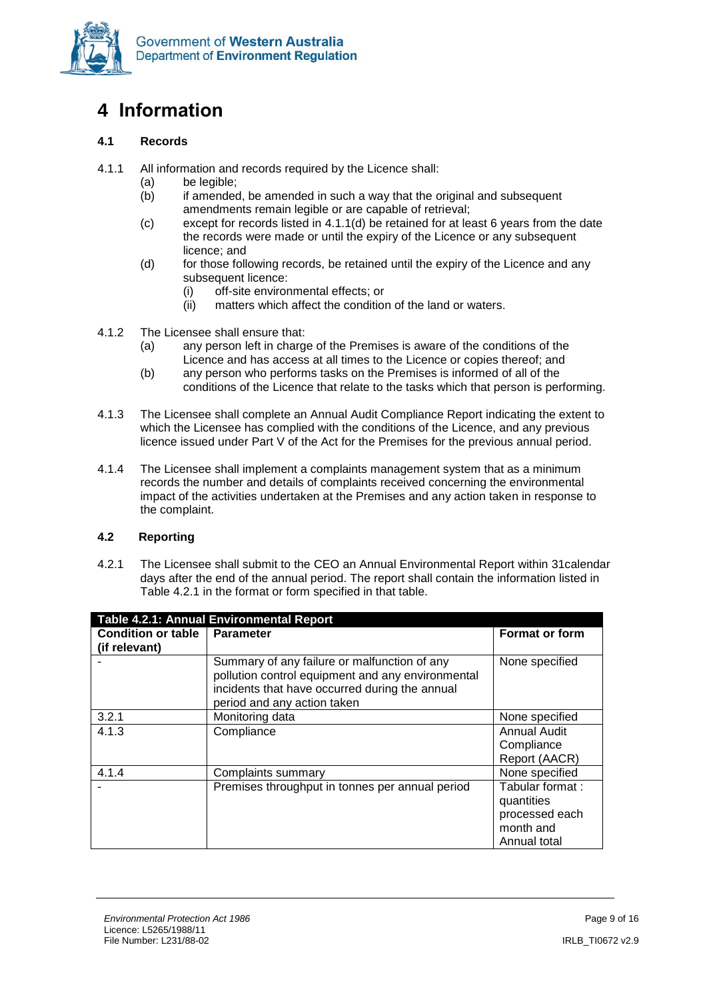

# <span id="page-8-0"></span>**4 Information**

#### **4.1 Records**

- 4.1.1 All information and records required by the Licence shall:
	- (a) be legible;
	- (b) if amended, be amended in such a way that the original and subsequent amendments remain legible or are capable of retrieval;
	- (c) except for records listed in 4.1.1(d) be retained for at least 6 years from the date the records were made or until the expiry of the Licence or any subsequent licence; and
	- (d) for those following records, be retained until the expiry of the Licence and any subsequent licence:
		- (i) off-site environmental effects; or
		- (ii) matters which affect the condition of the land or waters.
- 4.1.2 The Licensee shall ensure that:
	- (a) any person left in charge of the Premises is aware of the conditions of the Licence and has access at all times to the Licence or copies thereof; and
	- (b) any person who performs tasks on the Premises is informed of all of the conditions of the Licence that relate to the tasks which that person is performing.
- 4.1.3 The Licensee shall complete an Annual Audit Compliance Report indicating the extent to which the Licensee has complied with the conditions of the Licence, and any previous licence issued under Part V of the Act for the Premises for the previous annual period.
- 4.1.4 The Licensee shall implement a complaints management system that as a minimum records the number and details of complaints received concerning the environmental impact of the activities undertaken at the Premises and any action taken in response to the complaint.

#### **4.2 Reporting**

4.2.1 The Licensee shall submit to the CEO an Annual Environmental Report within 31calendar days after the end of the annual period. The report shall contain the information listed in Table 4.2.1 in the format or form specified in that table.

| Table 4.2.1: Annual Environmental Report   |                                                                                                                                                                                    |                                                                              |  |  |
|--------------------------------------------|------------------------------------------------------------------------------------------------------------------------------------------------------------------------------------|------------------------------------------------------------------------------|--|--|
| <b>Condition or table</b><br>(if relevant) | <b>Parameter</b>                                                                                                                                                                   | <b>Format or form</b>                                                        |  |  |
|                                            | Summary of any failure or malfunction of any<br>pollution control equipment and any environmental<br>incidents that have occurred during the annual<br>period and any action taken | None specified                                                               |  |  |
| 3.2.1                                      | Monitoring data                                                                                                                                                                    | None specified                                                               |  |  |
| 4.1.3                                      | Compliance                                                                                                                                                                         | <b>Annual Audit</b><br>Compliance<br>Report (AACR)                           |  |  |
| 4.1.4                                      | Complaints summary                                                                                                                                                                 | None specified                                                               |  |  |
|                                            | Premises throughput in tonnes per annual period                                                                                                                                    | Tabular format:<br>quantities<br>processed each<br>month and<br>Annual total |  |  |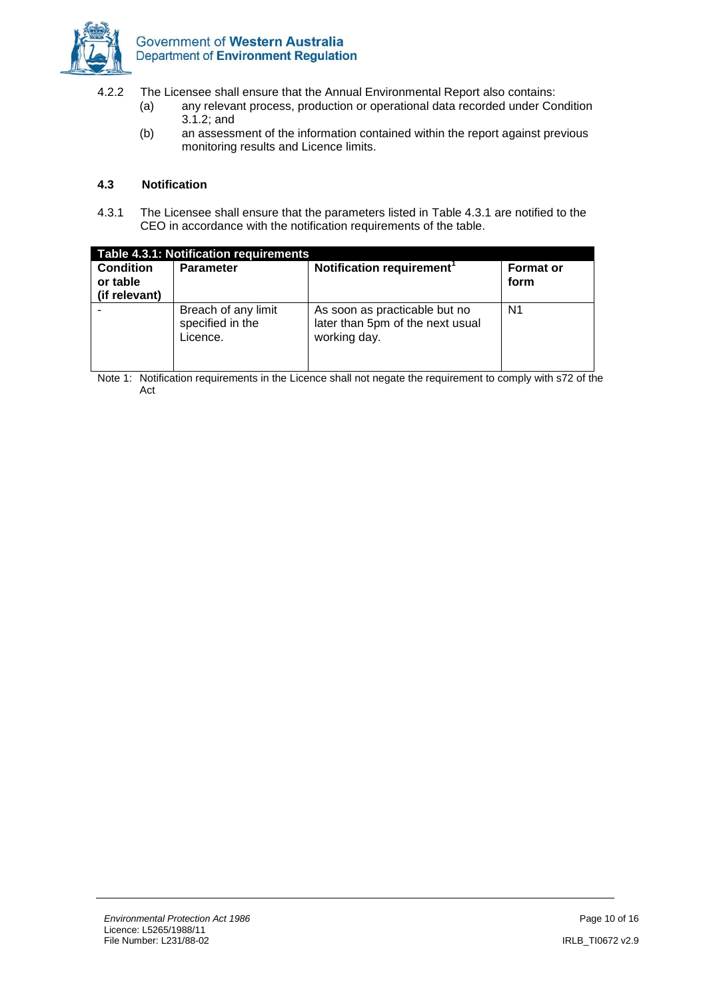

- 4.2.2 The Licensee shall ensure that the Annual Environmental Report also contains:
	- (a) any relevant process, production or operational data recorded under Condition 3.1.2; and
	- (b) an assessment of the information contained within the report against previous monitoring results and Licence limits.

#### **4.3 Notification**

4.3.1 The Licensee shall ensure that the parameters listed in Table 4.3.1 are notified to the CEO in accordance with the notification requirements of the table.

| Table 4.3.1: Notification requirements<br><b>Notification requirement</b><br><b>Condition</b><br><b>Format or</b><br><b>Parameter</b><br>or table<br>form<br>(if relevant) |                                                     |                                                                                   |                |  |
|----------------------------------------------------------------------------------------------------------------------------------------------------------------------------|-----------------------------------------------------|-----------------------------------------------------------------------------------|----------------|--|
|                                                                                                                                                                            | Breach of any limit<br>specified in the<br>Licence. | As soon as practicable but no<br>later than 5pm of the next usual<br>working day. | N <sub>1</sub> |  |

Note 1: Notification requirements in the Licence shall not negate the requirement to comply with s72 of the Act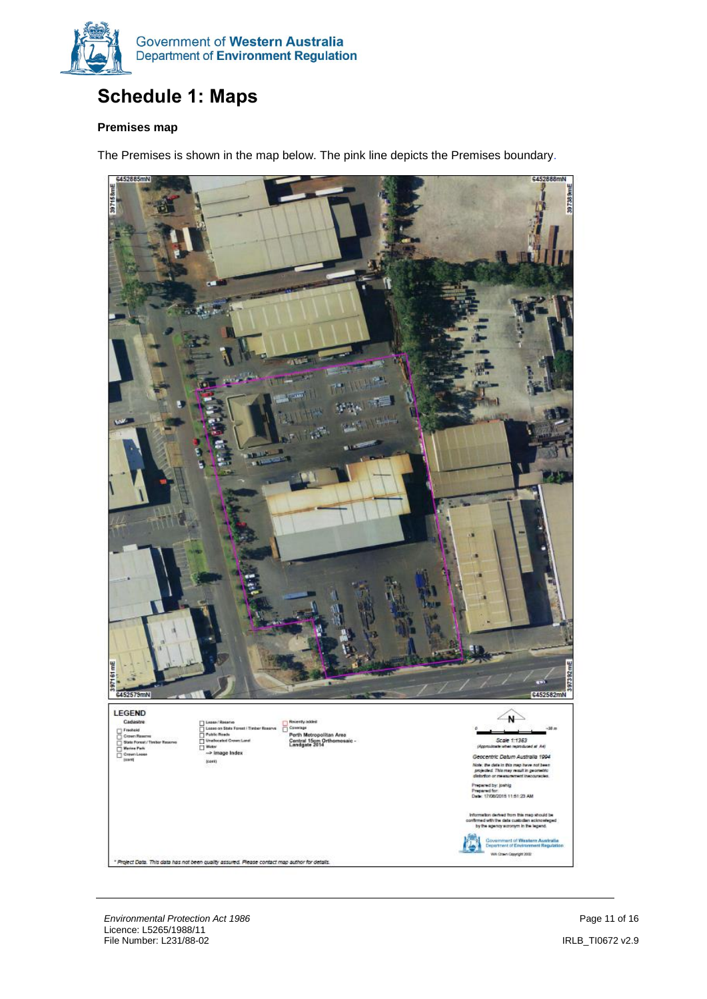

# <span id="page-10-0"></span>**Schedule 1: Maps**

#### **Premises map**

The Premises is shown in the map below. The pink line depicts the Premises boundary.



**Environmental Protection Act 1986 Page 11 of 16** Licence: L5265/1988/11 File Number: L231/88-02 IRLB\_TI0672 v2.9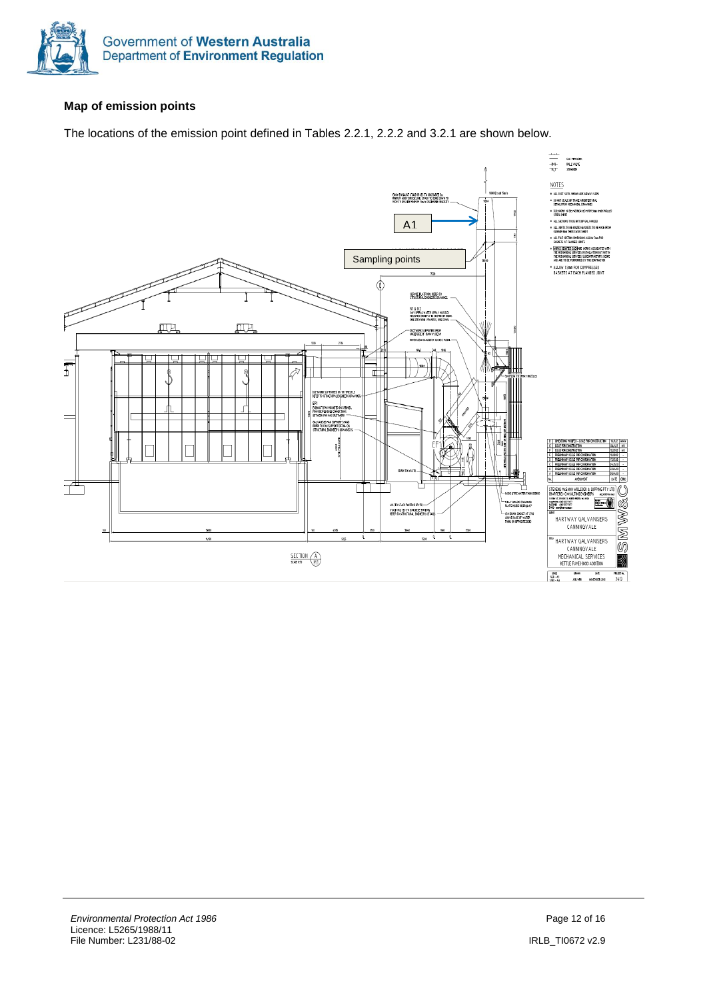

#### <span id="page-11-0"></span>**Map of emission points**

The locations of the emission point defined in Tables 2.2.1, 2.2.2 and 3.2.1 are shown below.

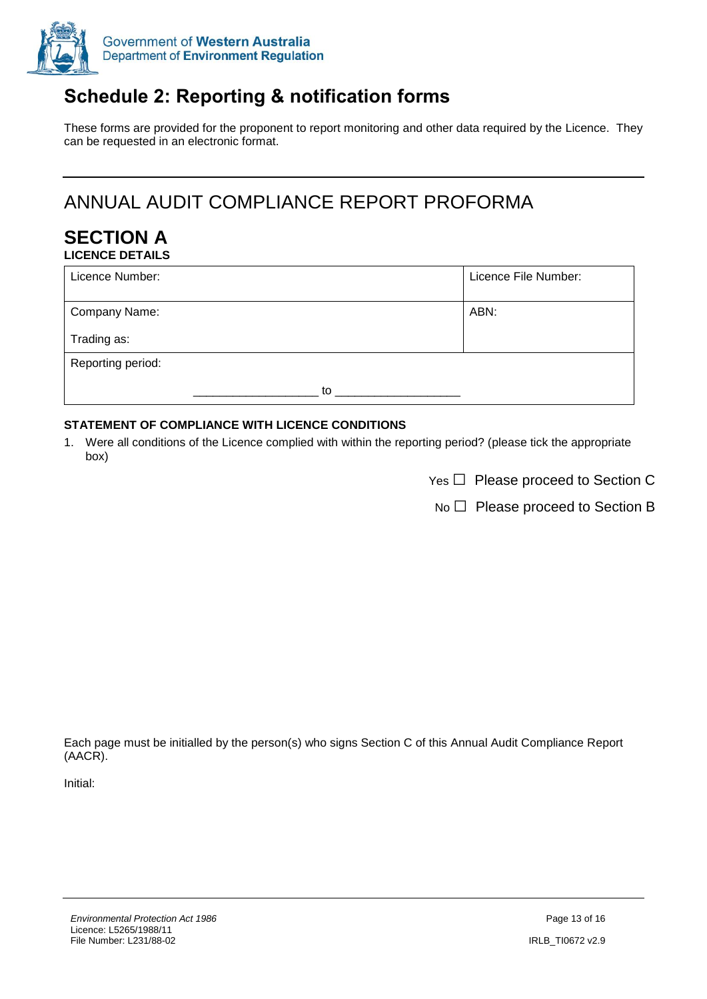

# **Schedule 2: Reporting & notification forms**

These forms are provided for the proponent to report monitoring and other data required by the Licence. They can be requested in an electronic format.

# ANNUAL AUDIT COMPLIANCE REPORT PROFORMA

#### **SECTION A LICENCE DETAILS**

| Licence Number:   |    | Licence File Number: |
|-------------------|----|----------------------|
| Company Name:     |    | ABN:                 |
| Trading as:       |    |                      |
| Reporting period: |    |                      |
|                   | to |                      |

#### **STATEMENT OF COMPLIANCE WITH LICENCE CONDITIONS**

- 1. Were all conditions of the Licence complied with within the reporting period? (please tick the appropriate box)
	- $Yes \Box$  Please proceed to Section C

 $No \Box$  Please proceed to Section B

Each page must be initialled by the person(s) who signs Section C of this Annual Audit Compliance Report (AACR).

Initial: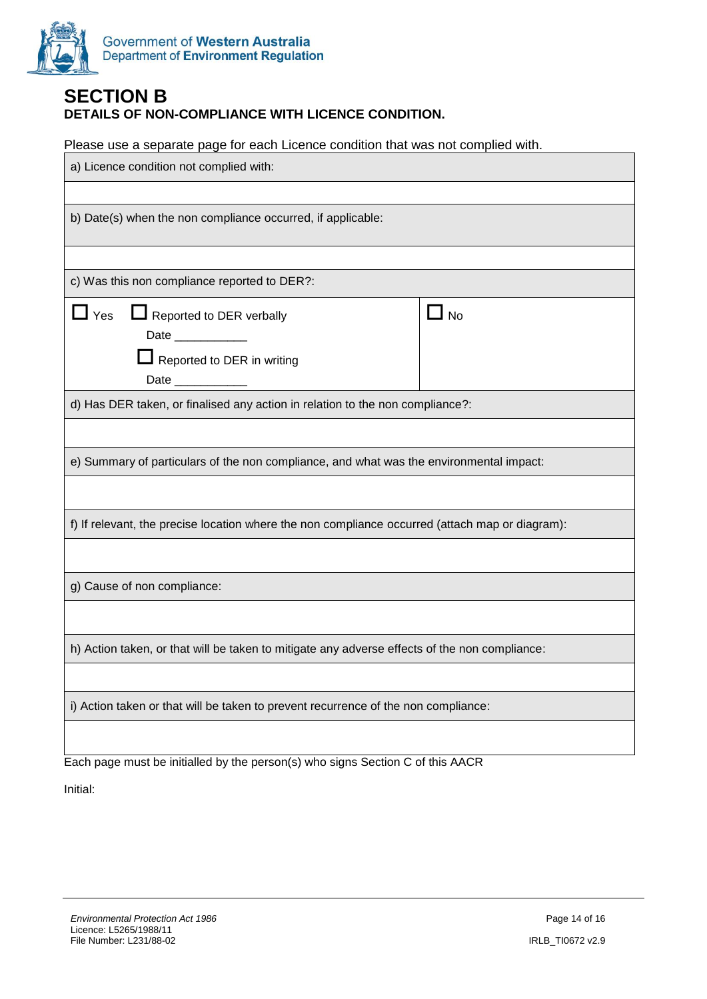

#### **SECTION B DETAILS OF NON-COMPLIANCE WITH LICENCE CONDITION.**

Please use a separate page for each Licence condition that was not complied with.

| a) Licence condition not complied with:                                                                                                |           |  |  |
|----------------------------------------------------------------------------------------------------------------------------------------|-----------|--|--|
|                                                                                                                                        |           |  |  |
| b) Date(s) when the non compliance occurred, if applicable:                                                                            |           |  |  |
|                                                                                                                                        |           |  |  |
| c) Was this non compliance reported to DER?:                                                                                           |           |  |  |
| $\mathsf{\mathord{\textsf{I}}}$ Yes<br>Reported to DER verbally<br>Date __________<br>Reported to DER in writing<br>Date _____________ | $\Box$ No |  |  |
| d) Has DER taken, or finalised any action in relation to the non compliance?:                                                          |           |  |  |
|                                                                                                                                        |           |  |  |
| e) Summary of particulars of the non compliance, and what was the environmental impact:                                                |           |  |  |
|                                                                                                                                        |           |  |  |
| f) If relevant, the precise location where the non compliance occurred (attach map or diagram):                                        |           |  |  |
|                                                                                                                                        |           |  |  |
| g) Cause of non compliance:                                                                                                            |           |  |  |
|                                                                                                                                        |           |  |  |
| h) Action taken, or that will be taken to mitigate any adverse effects of the non compliance:                                          |           |  |  |
|                                                                                                                                        |           |  |  |
| i) Action taken or that will be taken to prevent recurrence of the non compliance:                                                     |           |  |  |
|                                                                                                                                        |           |  |  |

Each page must be initialled by the person(s) who signs Section C of this AACR

Initial: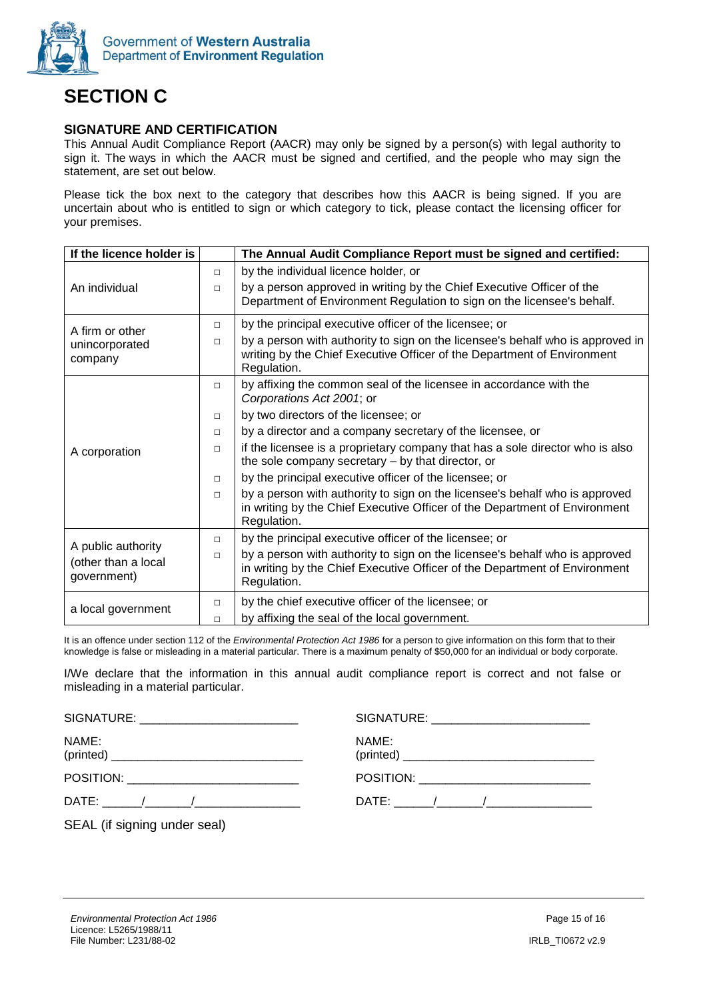

# **SECTION C**

#### **SIGNATURE AND CERTIFICATION**

This Annual Audit Compliance Report (AACR) may only be signed by a person(s) with legal authority to sign it. The ways in which the AACR must be signed and certified, and the people who may sign the statement, are set out below.

Please tick the box next to the category that describes how this AACR is being signed. If you are uncertain about who is entitled to sign or which category to tick, please contact the licensing officer for your premises.

| If the licence holder is                                 |        | The Annual Audit Compliance Report must be signed and certified:                                                                                                         |
|----------------------------------------------------------|--------|--------------------------------------------------------------------------------------------------------------------------------------------------------------------------|
|                                                          | $\Box$ | by the individual licence holder, or                                                                                                                                     |
| An individual                                            | $\Box$ | by a person approved in writing by the Chief Executive Officer of the<br>Department of Environment Regulation to sign on the licensee's behalf.                          |
| A firm or other                                          | $\Box$ | by the principal executive officer of the licensee; or                                                                                                                   |
| unincorporated<br>company                                | $\Box$ | by a person with authority to sign on the licensee's behalf who is approved in<br>writing by the Chief Executive Officer of the Department of Environment<br>Regulation. |
|                                                          | $\Box$ | by affixing the common seal of the licensee in accordance with the<br>Corporations Act 2001; or                                                                          |
|                                                          | $\Box$ | by two directors of the licensee; or                                                                                                                                     |
|                                                          | $\Box$ | by a director and a company secretary of the licensee, or                                                                                                                |
| A corporation                                            | $\Box$ | if the licensee is a proprietary company that has a sole director who is also<br>the sole company secretary – by that director, or                                       |
|                                                          | $\Box$ | by the principal executive officer of the licensee; or                                                                                                                   |
|                                                          | $\Box$ | by a person with authority to sign on the licensee's behalf who is approved<br>in writing by the Chief Executive Officer of the Department of Environment<br>Regulation. |
|                                                          | $\Box$ | by the principal executive officer of the licensee; or                                                                                                                   |
| A public authority<br>(other than a local<br>government) | $\Box$ | by a person with authority to sign on the licensee's behalf who is approved<br>in writing by the Chief Executive Officer of the Department of Environment<br>Regulation. |
| a local government                                       | $\Box$ | by the chief executive officer of the licensee; or                                                                                                                       |
|                                                          | $\Box$ | by affixing the seal of the local government.                                                                                                                            |

It is an offence under section 112 of the *Environmental Protection Act 1986* for a person to give information on this form that to their knowledge is false or misleading in a material particular. There is a maximum penalty of \$50,000 for an individual or body corporate.

I/We declare that the information in this annual audit compliance report is correct and not false or misleading in a material particular.

| SIGNATURE: ___________________________ |       |
|----------------------------------------|-------|
| NAME:                                  | NAME: |
|                                        |       |
|                                        |       |
| SEAL (if signing under seal)           |       |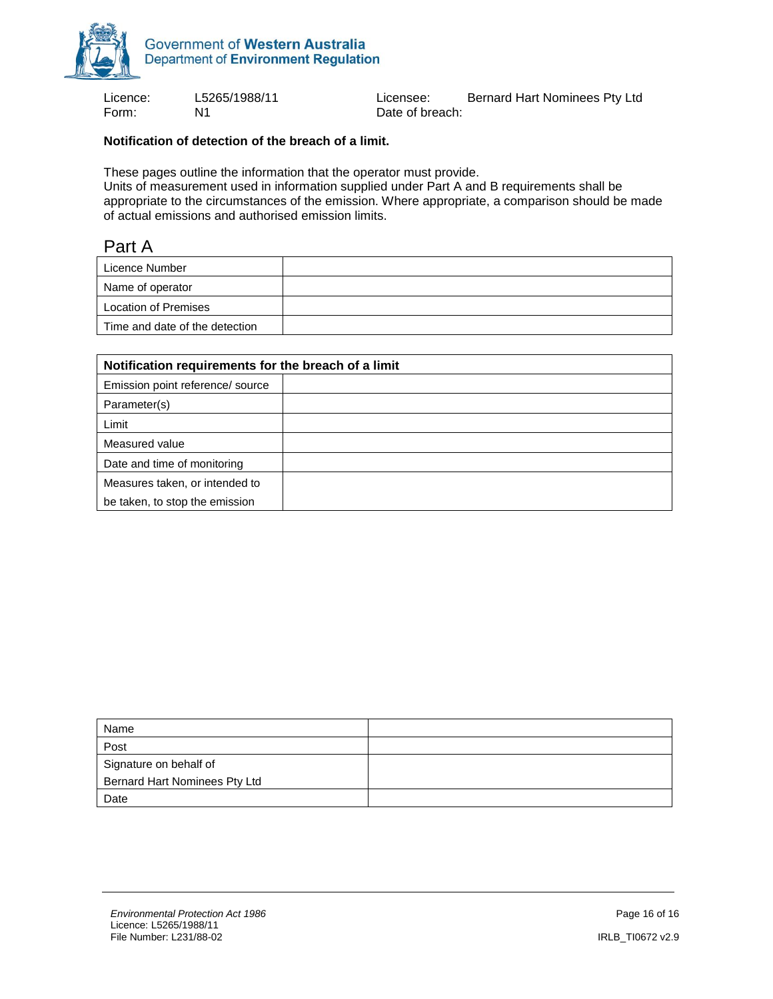

Form: N1 N1 Date of breach:

Licence: L5265/1988/11 Licensee: Bernard Hart Nominees Pty Ltd

#### **Notification of detection of the breach of a limit.**

These pages outline the information that the operator must provide.

Units of measurement used in information supplied under Part A and B requirements shall be appropriate to the circumstances of the emission. Where appropriate, a comparison should be made of actual emissions and authorised emission limits.

#### Part A

| Licence Number                 |  |
|--------------------------------|--|
| Name of operator               |  |
| Location of Premises           |  |
| Time and date of the detection |  |

| Notification requirements for the breach of a limit |  |  |  |
|-----------------------------------------------------|--|--|--|
| Emission point reference/ source                    |  |  |  |
| Parameter(s)                                        |  |  |  |
| Limit                                               |  |  |  |
| Measured value                                      |  |  |  |
| Date and time of monitoring                         |  |  |  |
| Measures taken, or intended to                      |  |  |  |
| be taken, to stop the emission                      |  |  |  |

| Name                          |  |
|-------------------------------|--|
| Post                          |  |
| Signature on behalf of        |  |
| Bernard Hart Nominees Pty Ltd |  |
| Date                          |  |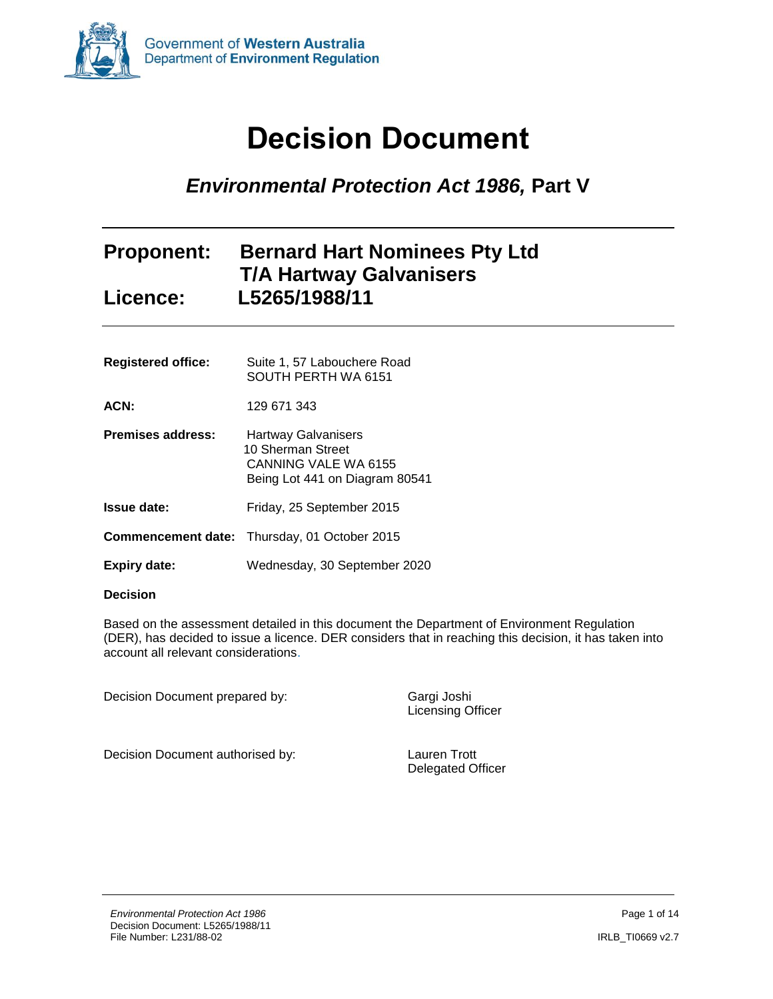<span id="page-16-0"></span>

# **Decision Document**

# *Environmental Protection Act 1986,* **Part V**

### **Proponent: Bernard Hart Nominees Pty Ltd T/A Hartway Galvanisers Licence: L5265/1988/11**

| <b>Registered office:</b> | Suite 1, 57 Labouchere Road<br>SOUTH PERTH WA 6151                                                 |
|---------------------------|----------------------------------------------------------------------------------------------------|
| ACN:                      | 129 671 343                                                                                        |
| <b>Premises address:</b>  | Hartway Galvanisers<br>10 Sherman Street<br>CANNING VALE WA 6155<br>Being Lot 441 on Diagram 80541 |
| Issue date:               | Friday, 25 September 2015                                                                          |
|                           | <b>Commencement date:</b> Thursday, 01 October 2015                                                |
| <b>Expiry date:</b>       | Wednesday, 30 September 2020                                                                       |

#### **Decision**

Based on the assessment detailed in this document the Department of Environment Regulation (DER), has decided to issue a licence. DER considers that in reaching this decision, it has taken into account all relevant considerations.

Decision Document prepared by: Gargi Joshi

Licensing Officer

Decision Document authorised by: Lauren Trott

Delegated Officer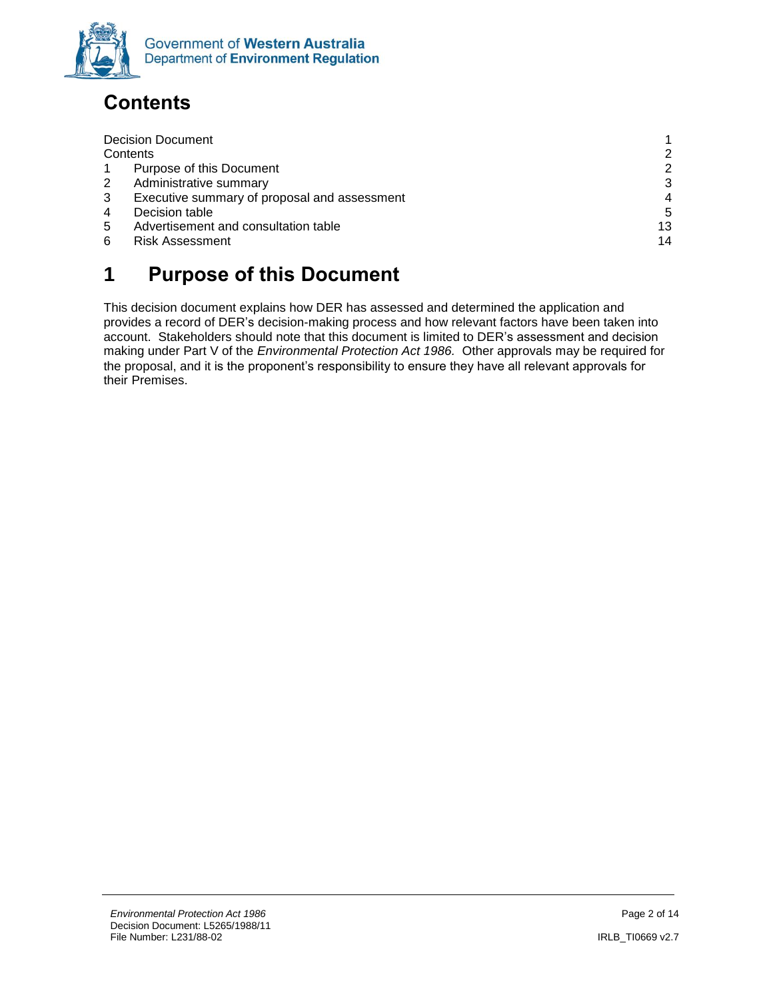

# <span id="page-17-0"></span>**Contents**

|   | <b>Decision Document</b>                     |    |
|---|----------------------------------------------|----|
|   | Contents                                     | 2  |
|   | Purpose of this Document                     | 2  |
| 2 | Administrative summary                       | 3  |
| 3 | Executive summary of proposal and assessment | 4  |
| 4 | Decision table                               | 5  |
| 5 | Advertisement and consultation table         | 13 |
| 6 | <b>Risk Assessment</b>                       | 14 |
|   |                                              |    |

# <span id="page-17-1"></span>**1 Purpose of this Document**

This decision document explains how DER has assessed and determined the application and provides a record of DER's decision-making process and how relevant factors have been taken into account. Stakeholders should note that this document is limited to DER's assessment and decision making under Part V of the *Environmental Protection Act 1986.* Other approvals may be required for the proposal, and it is the proponent's responsibility to ensure they have all relevant approvals for their Premises.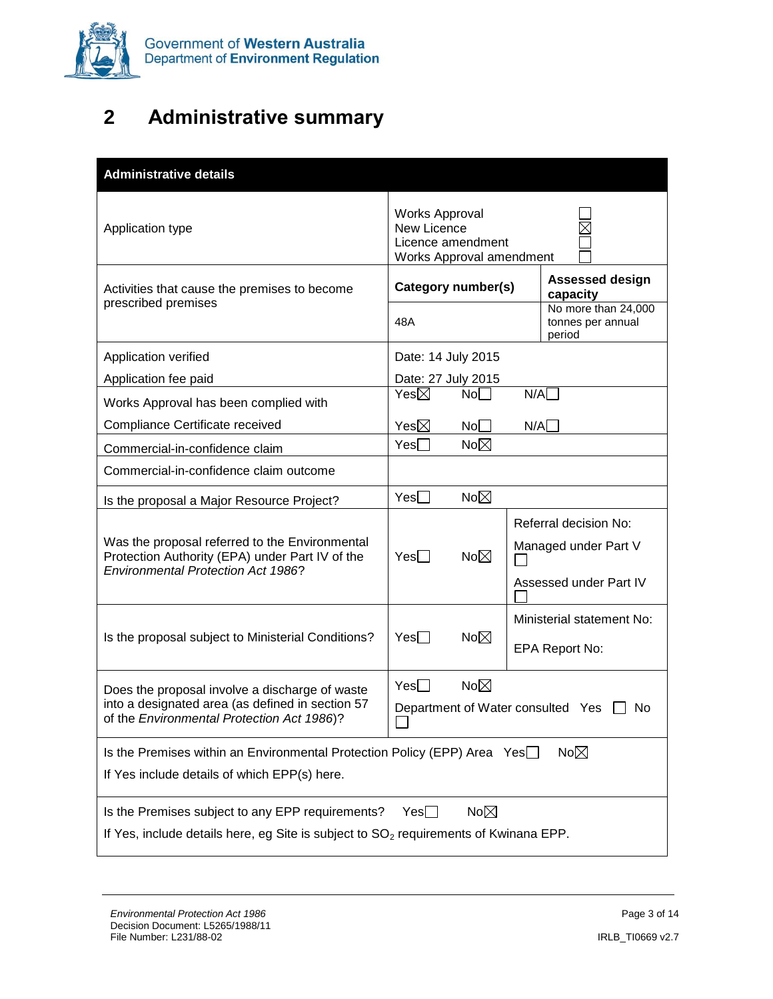

# <span id="page-18-0"></span>**2 Administrative summary**

| <b>Administrative details</b>                                                                                                                                                                                               |                                                                                              |                                                                         |  |
|-----------------------------------------------------------------------------------------------------------------------------------------------------------------------------------------------------------------------------|----------------------------------------------------------------------------------------------|-------------------------------------------------------------------------|--|
| Application type                                                                                                                                                                                                            | <b>Works Approval</b><br><b>New Licence</b><br>Licence amendment<br>Works Approval amendment |                                                                         |  |
| Activities that cause the premises to become<br>prescribed premises                                                                                                                                                         | Category number(s)                                                                           | <b>Assessed design</b><br>capacity<br>No more than 24,000               |  |
|                                                                                                                                                                                                                             | 48A                                                                                          | tonnes per annual<br>period                                             |  |
| Application verified                                                                                                                                                                                                        | Date: 14 July 2015                                                                           |                                                                         |  |
| Application fee paid                                                                                                                                                                                                        | Date: 27 July 2015                                                                           |                                                                         |  |
| Works Approval has been complied with                                                                                                                                                                                       | Yes $\boxtimes$<br>No <sub>1</sub>                                                           | N/A                                                                     |  |
| Compliance Certificate received                                                                                                                                                                                             | Yes $\boxtimes$<br>No <sub>1</sub>                                                           | N/A                                                                     |  |
| Commercial-in-confidence claim                                                                                                                                                                                              | No $\boxtimes$<br>Yes                                                                        |                                                                         |  |
| Commercial-in-confidence claim outcome                                                                                                                                                                                      |                                                                                              |                                                                         |  |
| Is the proposal a Major Resource Project?                                                                                                                                                                                   | No $\boxtimes$<br>Yes                                                                        |                                                                         |  |
| Was the proposal referred to the Environmental<br>Protection Authority (EPA) under Part IV of the<br><b>Environmental Protection Act 1986?</b>                                                                              | $Yes \Box$<br>No $\boxtimes$                                                                 | Referral decision No:<br>Managed under Part V<br>Assessed under Part IV |  |
| Is the proposal subject to Ministerial Conditions?                                                                                                                                                                          | No $\boxtimes$<br>Yes                                                                        | Ministerial statement No:<br>EPA Report No:                             |  |
| No $\boxtimes$<br>Yes<br>Does the proposal involve a discharge of waste<br>into a designated area (as defined in section 57<br>Department of Water consulted Yes $\Box$<br>No<br>of the Environmental Protection Act 1986)? |                                                                                              |                                                                         |  |
| No $\boxtimes$<br>Is the Premises within an Environmental Protection Policy (EPP) Area Yes<br>If Yes include details of which EPP(s) here.                                                                                  |                                                                                              |                                                                         |  |
| No $\boxtimes$<br>Is the Premises subject to any EPP requirements?<br>Yes∐<br>If Yes, include details here, eg Site is subject to SO <sub>2</sub> requirements of Kwinana EPP.                                              |                                                                                              |                                                                         |  |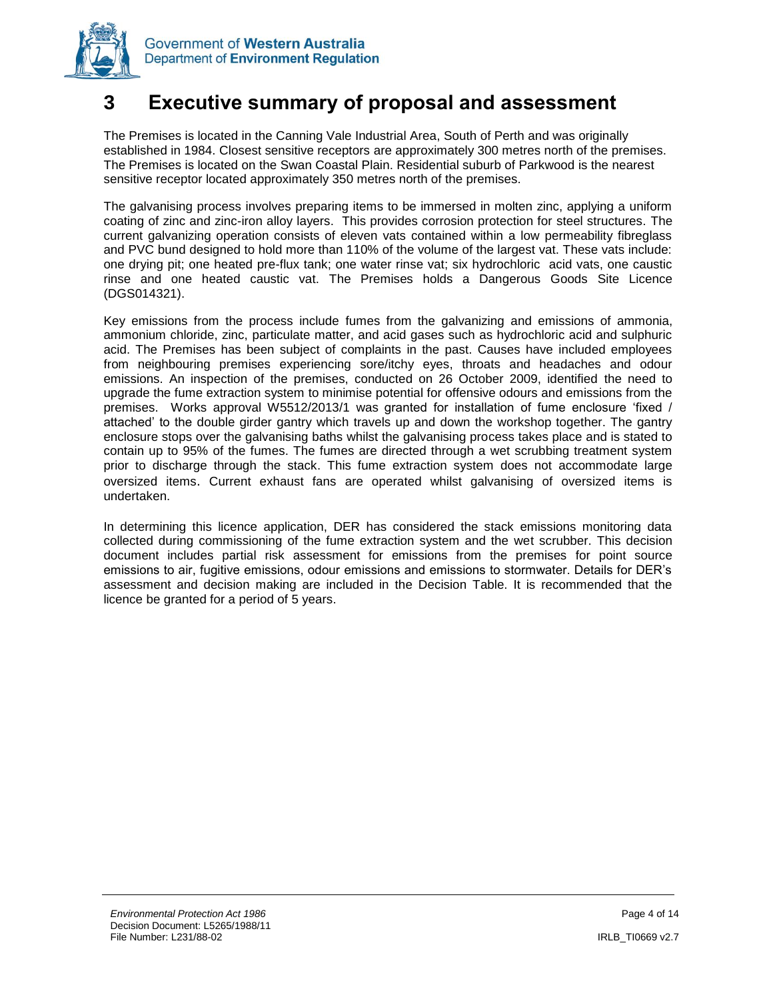

### <span id="page-19-0"></span>**3 Executive summary of proposal and assessment**

The Premises is located in the Canning Vale Industrial Area, South of Perth and was originally established in 1984. Closest sensitive receptors are approximately 300 metres north of the premises. The Premises is located on the Swan Coastal Plain. Residential suburb of Parkwood is the nearest sensitive receptor located approximately 350 metres north of the premises.

The galvanising process involves preparing items to be immersed in molten zinc, applying a uniform coating of zinc and zinc-iron alloy layers. This provides corrosion protection for steel structures. The current galvanizing operation consists of eleven vats contained within a low permeability fibreglass and PVC bund designed to hold more than 110% of the volume of the largest vat. These vats include: one drying pit; one heated pre-flux tank; one water rinse vat; six hydrochloric acid vats, one caustic rinse and one heated caustic vat. The Premises holds a Dangerous Goods Site Licence (DGS014321).

Key emissions from the process include fumes from the galvanizing and emissions of ammonia, ammonium chloride, zinc, particulate matter, and acid gases such as hydrochloric acid and sulphuric acid. The Premises has been subject of complaints in the past. Causes have included employees from neighbouring premises experiencing sore/itchy eyes, throats and headaches and odour emissions. An inspection of the premises, conducted on 26 October 2009, identified the need to upgrade the fume extraction system to minimise potential for offensive odours and emissions from the premises. Works approval W5512/2013/1 was granted for installation of fume enclosure 'fixed / attached' to the double girder gantry which travels up and down the workshop together. The gantry enclosure stops over the galvanising baths whilst the galvanising process takes place and is stated to contain up to 95% of the fumes. The fumes are directed through a wet scrubbing treatment system prior to discharge through the stack. This fume extraction system does not accommodate large oversized items. Current exhaust fans are operated whilst galvanising of oversized items is undertaken.

In determining this licence application, DER has considered the stack emissions monitoring data collected during commissioning of the fume extraction system and the wet scrubber. This decision document includes partial risk assessment for emissions from the premises for point source emissions to air, fugitive emissions, odour emissions and emissions to stormwater. Details for DER's assessment and decision making are included in the Decision Table. It is recommended that the licence be granted for a period of 5 years.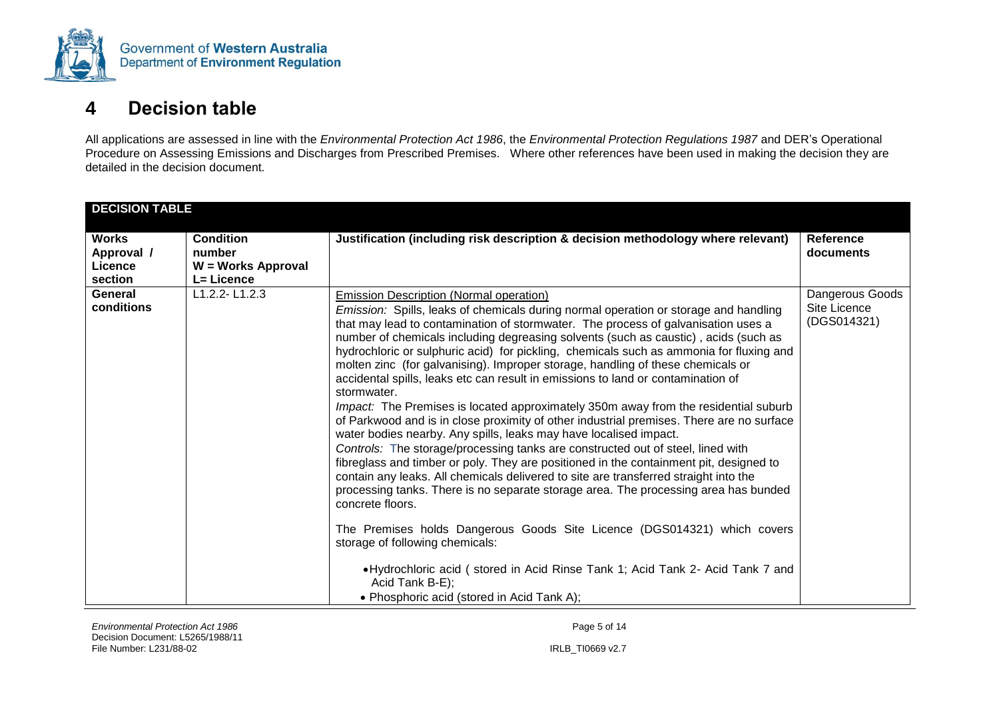

# **4 Decision table**

All applications are assessed in line with the *Environmental Protection Act 1986*, the *Environmental Protection Regulations 1987* and DER's Operational Procedure on Assessing Emissions and Discharges from Prescribed Premises. Where other references have been used in making the decision they are detailed in the decision document.

<span id="page-20-0"></span>

| <b>DECISION TABLE</b>                            |                                                                |                                                                                                                                                                                                                                                                                                                                                                                                                                                                                                                                                                                                                                                                                                                                                                                                                                                                                                                                                                                                                                                                                                                                                                                                                                                                                                                                                                                                                                                                                                               |                                                |
|--------------------------------------------------|----------------------------------------------------------------|---------------------------------------------------------------------------------------------------------------------------------------------------------------------------------------------------------------------------------------------------------------------------------------------------------------------------------------------------------------------------------------------------------------------------------------------------------------------------------------------------------------------------------------------------------------------------------------------------------------------------------------------------------------------------------------------------------------------------------------------------------------------------------------------------------------------------------------------------------------------------------------------------------------------------------------------------------------------------------------------------------------------------------------------------------------------------------------------------------------------------------------------------------------------------------------------------------------------------------------------------------------------------------------------------------------------------------------------------------------------------------------------------------------------------------------------------------------------------------------------------------------|------------------------------------------------|
| <b>Works</b><br>Approval /<br>Licence<br>section | <b>Condition</b><br>number<br>W = Works Approval<br>L= Licence | Justification (including risk description & decision methodology where relevant)                                                                                                                                                                                                                                                                                                                                                                                                                                                                                                                                                                                                                                                                                                                                                                                                                                                                                                                                                                                                                                                                                                                                                                                                                                                                                                                                                                                                                              | <b>Reference</b><br>documents                  |
| General<br>conditions                            | $L1.2.2 - L1.2.3$                                              | <b>Emission Description (Normal operation)</b><br>Emission: Spills, leaks of chemicals during normal operation or storage and handling<br>that may lead to contamination of stormwater. The process of galvanisation uses a<br>number of chemicals including degreasing solvents (such as caustic), acids (such as<br>hydrochloric or sulphuric acid) for pickling, chemicals such as ammonia for fluxing and<br>molten zinc (for galvanising). Improper storage, handling of these chemicals or<br>accidental spills, leaks etc can result in emissions to land or contamination of<br>stormwater.<br>Impact: The Premises is located approximately 350m away from the residential suburb<br>of Parkwood and is in close proximity of other industrial premises. There are no surface<br>water bodies nearby. Any spills, leaks may have localised impact.<br>Controls: The storage/processing tanks are constructed out of steel, lined with<br>fibreglass and timber or poly. They are positioned in the containment pit, designed to<br>contain any leaks. All chemicals delivered to site are transferred straight into the<br>processing tanks. There is no separate storage area. The processing area has bunded<br>concrete floors.<br>The Premises holds Dangerous Goods Site Licence (DGS014321) which covers<br>storage of following chemicals:<br>• Hydrochloric acid (stored in Acid Rinse Tank 1; Acid Tank 2- Acid Tank 7 and<br>Acid Tank B-E);<br>• Phosphoric acid (stored in Acid Tank A); | Dangerous Goods<br>Site Licence<br>(DGS014321) |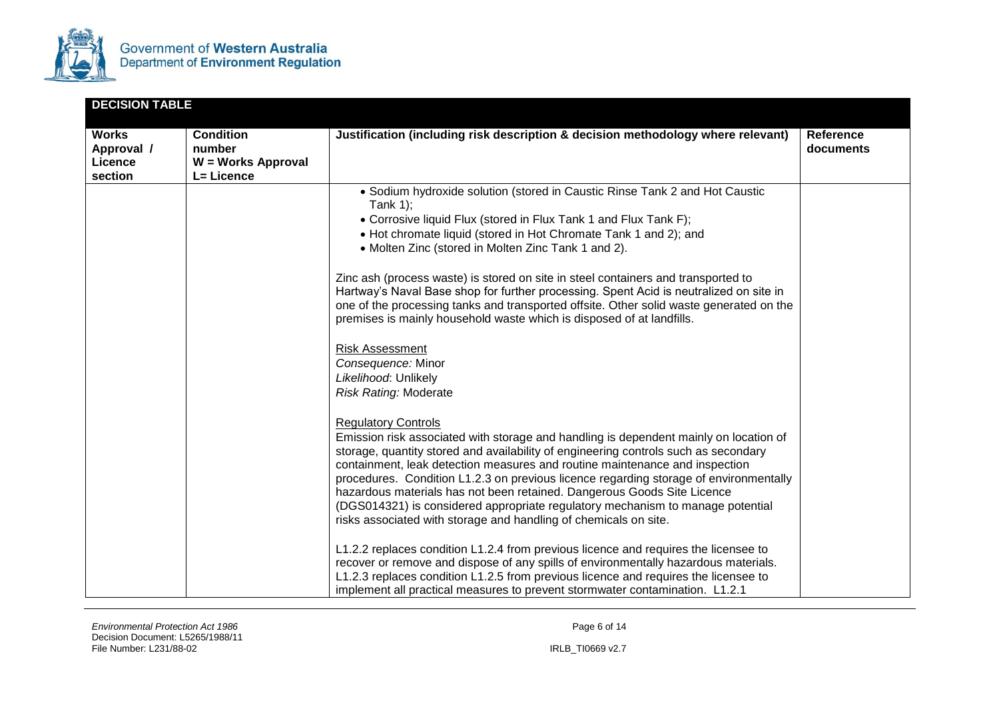

| <b>DECISION TABLE</b>                            |                                                                |                                                                                                                                                                                                                                                                                                                                                                                                                                                                                                                                                                                                                                                                                                                                                                                                                                                                                                                                                                                                                                                                                                                                                                                                                                                                                                                                                                                                                                                                                                                                                                                                                                                                                                                                  |                               |
|--------------------------------------------------|----------------------------------------------------------------|----------------------------------------------------------------------------------------------------------------------------------------------------------------------------------------------------------------------------------------------------------------------------------------------------------------------------------------------------------------------------------------------------------------------------------------------------------------------------------------------------------------------------------------------------------------------------------------------------------------------------------------------------------------------------------------------------------------------------------------------------------------------------------------------------------------------------------------------------------------------------------------------------------------------------------------------------------------------------------------------------------------------------------------------------------------------------------------------------------------------------------------------------------------------------------------------------------------------------------------------------------------------------------------------------------------------------------------------------------------------------------------------------------------------------------------------------------------------------------------------------------------------------------------------------------------------------------------------------------------------------------------------------------------------------------------------------------------------------------|-------------------------------|
| <b>Works</b><br>Approval /<br>Licence<br>section | <b>Condition</b><br>number<br>W = Works Approval<br>L= Licence | Justification (including risk description & decision methodology where relevant)                                                                                                                                                                                                                                                                                                                                                                                                                                                                                                                                                                                                                                                                                                                                                                                                                                                                                                                                                                                                                                                                                                                                                                                                                                                                                                                                                                                                                                                                                                                                                                                                                                                 | <b>Reference</b><br>documents |
|                                                  |                                                                | • Sodium hydroxide solution (stored in Caustic Rinse Tank 2 and Hot Caustic<br>Tank $1$ );<br>• Corrosive liquid Flux (stored in Flux Tank 1 and Flux Tank F);<br>• Hot chromate liquid (stored in Hot Chromate Tank 1 and 2); and<br>• Molten Zinc (stored in Molten Zinc Tank 1 and 2).<br>Zinc ash (process waste) is stored on site in steel containers and transported to<br>Hartway's Naval Base shop for further processing. Spent Acid is neutralized on site in<br>one of the processing tanks and transported offsite. Other solid waste generated on the<br>premises is mainly household waste which is disposed of at landfills.<br><b>Risk Assessment</b><br>Consequence: Minor<br>Likelihood: Unlikely<br><b>Risk Rating: Moderate</b><br><b>Regulatory Controls</b><br>Emission risk associated with storage and handling is dependent mainly on location of<br>storage, quantity stored and availability of engineering controls such as secondary<br>containment, leak detection measures and routine maintenance and inspection<br>procedures. Condition L1.2.3 on previous licence regarding storage of environmentally<br>hazardous materials has not been retained. Dangerous Goods Site Licence<br>(DGS014321) is considered appropriate regulatory mechanism to manage potential<br>risks associated with storage and handling of chemicals on site.<br>L1.2.2 replaces condition L1.2.4 from previous licence and requires the licensee to<br>recover or remove and dispose of any spills of environmentally hazardous materials.<br>L1.2.3 replaces condition L1.2.5 from previous licence and requires the licensee to<br>implement all practical measures to prevent stormwater contamination. L1.2.1 |                               |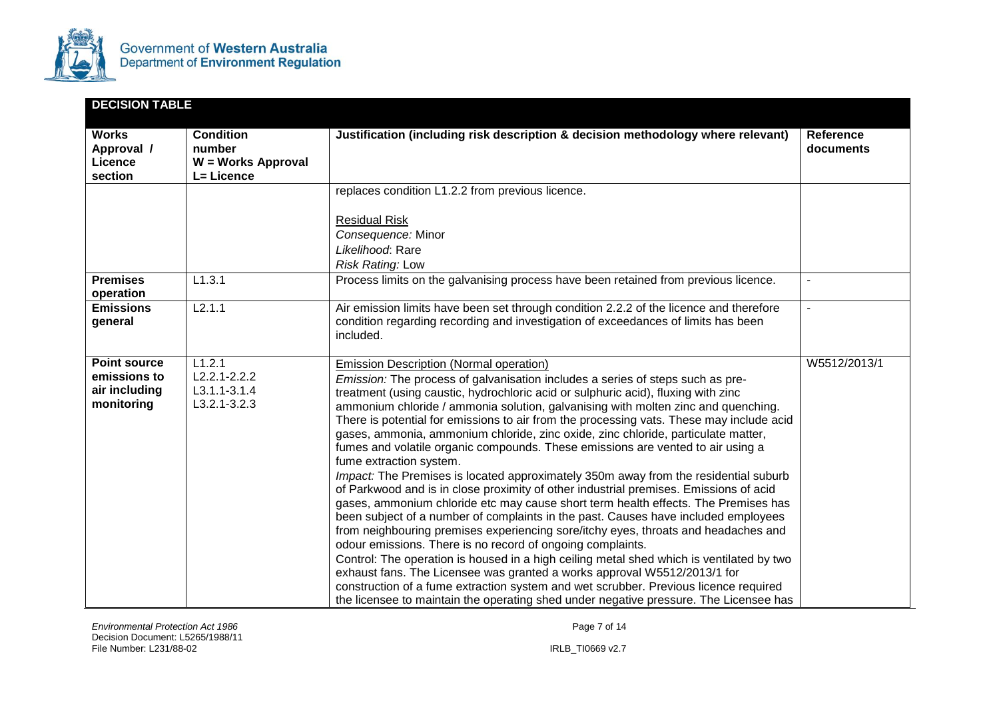

| <b>DECISION TABLE</b>                                                                                              |                                                                |                                                                                                                                                                                                                                                                                                                                                                                                                                                                                                                                                                                                                                                                                                                                                                                                                                                                                                                                                                                                                                                                                                                                                                                                                                                                                                                                                                                                                                                                             |                        |
|--------------------------------------------------------------------------------------------------------------------|----------------------------------------------------------------|-----------------------------------------------------------------------------------------------------------------------------------------------------------------------------------------------------------------------------------------------------------------------------------------------------------------------------------------------------------------------------------------------------------------------------------------------------------------------------------------------------------------------------------------------------------------------------------------------------------------------------------------------------------------------------------------------------------------------------------------------------------------------------------------------------------------------------------------------------------------------------------------------------------------------------------------------------------------------------------------------------------------------------------------------------------------------------------------------------------------------------------------------------------------------------------------------------------------------------------------------------------------------------------------------------------------------------------------------------------------------------------------------------------------------------------------------------------------------------|------------------------|
| <b>Works</b><br>Approval /<br>Licence<br>section                                                                   | <b>Condition</b><br>number<br>W = Works Approval<br>L= Licence | Justification (including risk description & decision methodology where relevant)                                                                                                                                                                                                                                                                                                                                                                                                                                                                                                                                                                                                                                                                                                                                                                                                                                                                                                                                                                                                                                                                                                                                                                                                                                                                                                                                                                                            | Reference<br>documents |
| replaces condition L1.2.2 from previous licence.<br><b>Residual Risk</b><br>Consequence: Minor<br>Likelihood: Rare |                                                                | Risk Rating: Low                                                                                                                                                                                                                                                                                                                                                                                                                                                                                                                                                                                                                                                                                                                                                                                                                                                                                                                                                                                                                                                                                                                                                                                                                                                                                                                                                                                                                                                            |                        |
| <b>Premises</b><br>operation                                                                                       | L1.3.1                                                         | Process limits on the galvanising process have been retained from previous licence.                                                                                                                                                                                                                                                                                                                                                                                                                                                                                                                                                                                                                                                                                                                                                                                                                                                                                                                                                                                                                                                                                                                                                                                                                                                                                                                                                                                         | $\overline{a}$         |
| <b>Emissions</b><br>general                                                                                        | L2.1.1                                                         | Air emission limits have been set through condition 2.2.2 of the licence and therefore<br>condition regarding recording and investigation of exceedances of limits has been<br>included.                                                                                                                                                                                                                                                                                                                                                                                                                                                                                                                                                                                                                                                                                                                                                                                                                                                                                                                                                                                                                                                                                                                                                                                                                                                                                    |                        |
| <b>Point source</b><br>emissions to<br>air including<br>monitoring                                                 | L1.2.1<br>$L2.2.1 - 2.2.2$<br>L3.1.1-3.1.4<br>$L3.2.1 - 3.2.3$ | Emission Description (Normal operation)<br>Emission: The process of galvanisation includes a series of steps such as pre-<br>treatment (using caustic, hydrochloric acid or sulphuric acid), fluxing with zinc<br>ammonium chloride / ammonia solution, galvanising with molten zinc and quenching.<br>There is potential for emissions to air from the processing vats. These may include acid<br>gases, ammonia, ammonium chloride, zinc oxide, zinc chloride, particulate matter,<br>fumes and volatile organic compounds. These emissions are vented to air using a<br>fume extraction system.<br>Impact: The Premises is located approximately 350m away from the residential suburb<br>of Parkwood and is in close proximity of other industrial premises. Emissions of acid<br>gases, ammonium chloride etc may cause short term health effects. The Premises has<br>been subject of a number of complaints in the past. Causes have included employees<br>from neighbouring premises experiencing sore/itchy eyes, throats and headaches and<br>odour emissions. There is no record of ongoing complaints.<br>Control: The operation is housed in a high ceiling metal shed which is ventilated by two<br>exhaust fans. The Licensee was granted a works approval W5512/2013/1 for<br>construction of a fume extraction system and wet scrubber. Previous licence required<br>the licensee to maintain the operating shed under negative pressure. The Licensee has | W5512/2013/1           |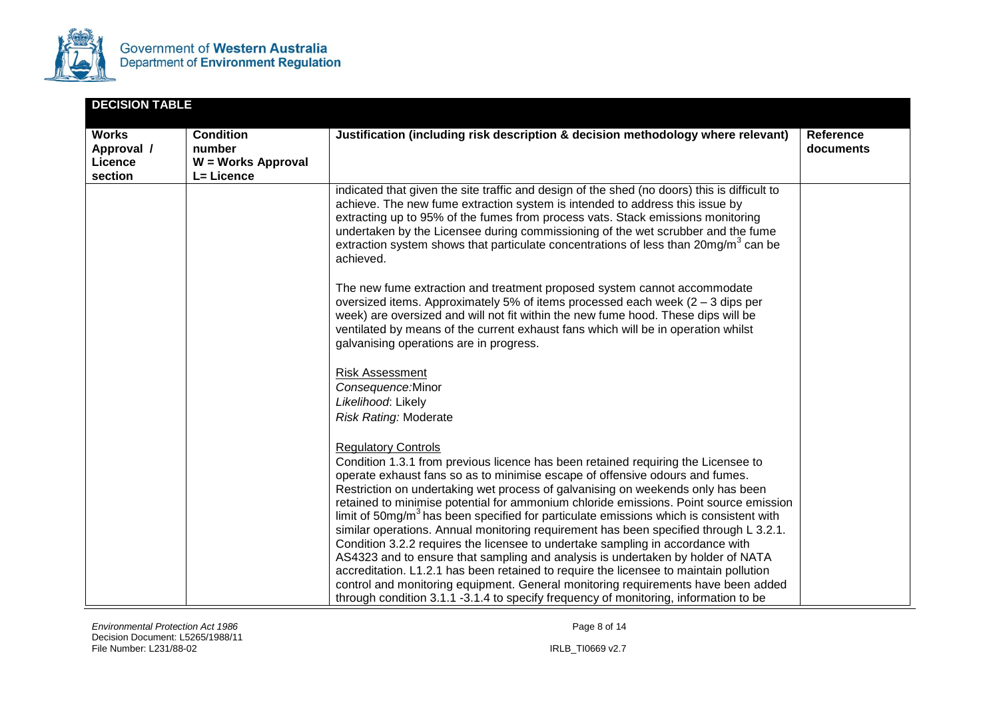

| <b>DECISION TABLE</b>                            |                                                                       |                                                                                                                                                                                                                                                                                                                                                                                                                                                                                                                                                                                                                                                                                                                                                                                                                                                                                                                                                                                                             |                               |
|--------------------------------------------------|-----------------------------------------------------------------------|-------------------------------------------------------------------------------------------------------------------------------------------------------------------------------------------------------------------------------------------------------------------------------------------------------------------------------------------------------------------------------------------------------------------------------------------------------------------------------------------------------------------------------------------------------------------------------------------------------------------------------------------------------------------------------------------------------------------------------------------------------------------------------------------------------------------------------------------------------------------------------------------------------------------------------------------------------------------------------------------------------------|-------------------------------|
| <b>Works</b><br>Approval /<br>Licence<br>section | <b>Condition</b><br>number<br><b>W</b> = Works Approval<br>L= Licence | Justification (including risk description & decision methodology where relevant)                                                                                                                                                                                                                                                                                                                                                                                                                                                                                                                                                                                                                                                                                                                                                                                                                                                                                                                            | <b>Reference</b><br>documents |
|                                                  |                                                                       | indicated that given the site traffic and design of the shed (no doors) this is difficult to<br>achieve. The new fume extraction system is intended to address this issue by<br>extracting up to 95% of the fumes from process vats. Stack emissions monitoring<br>undertaken by the Licensee during commissioning of the wet scrubber and the fume<br>extraction system shows that particulate concentrations of less than 20mg/m <sup>3</sup> can be<br>achieved.                                                                                                                                                                                                                                                                                                                                                                                                                                                                                                                                         |                               |
|                                                  |                                                                       | The new fume extraction and treatment proposed system cannot accommodate<br>oversized items. Approximately 5% of items processed each week $(2 - 3$ dips per<br>week) are oversized and will not fit within the new fume hood. These dips will be<br>ventilated by means of the current exhaust fans which will be in operation whilst<br>galvanising operations are in progress.                                                                                                                                                                                                                                                                                                                                                                                                                                                                                                                                                                                                                           |                               |
|                                                  |                                                                       | <b>Risk Assessment</b><br>Consequence:Minor<br>Likelihood: Likely<br>Risk Rating: Moderate                                                                                                                                                                                                                                                                                                                                                                                                                                                                                                                                                                                                                                                                                                                                                                                                                                                                                                                  |                               |
|                                                  |                                                                       | <b>Regulatory Controls</b><br>Condition 1.3.1 from previous licence has been retained requiring the Licensee to<br>operate exhaust fans so as to minimise escape of offensive odours and fumes.<br>Restriction on undertaking wet process of galvanising on weekends only has been<br>retained to minimise potential for ammonium chloride emissions. Point source emission<br>limit of $50mg/m3$ has been specified for particulate emissions which is consistent with<br>similar operations. Annual monitoring requirement has been specified through L 3.2.1.<br>Condition 3.2.2 requires the licensee to undertake sampling in accordance with<br>AS4323 and to ensure that sampling and analysis is undertaken by holder of NATA<br>accreditation. L1.2.1 has been retained to require the licensee to maintain pollution<br>control and monitoring equipment. General monitoring requirements have been added<br>through condition 3.1.1 -3.1.4 to specify frequency of monitoring, information to be |                               |

*Environmental Protection Act 1986* Page 8 of 14 Decision Document: L5265/1988/11 File Number: L231/88-02 IRLB\_TI0669 v2.7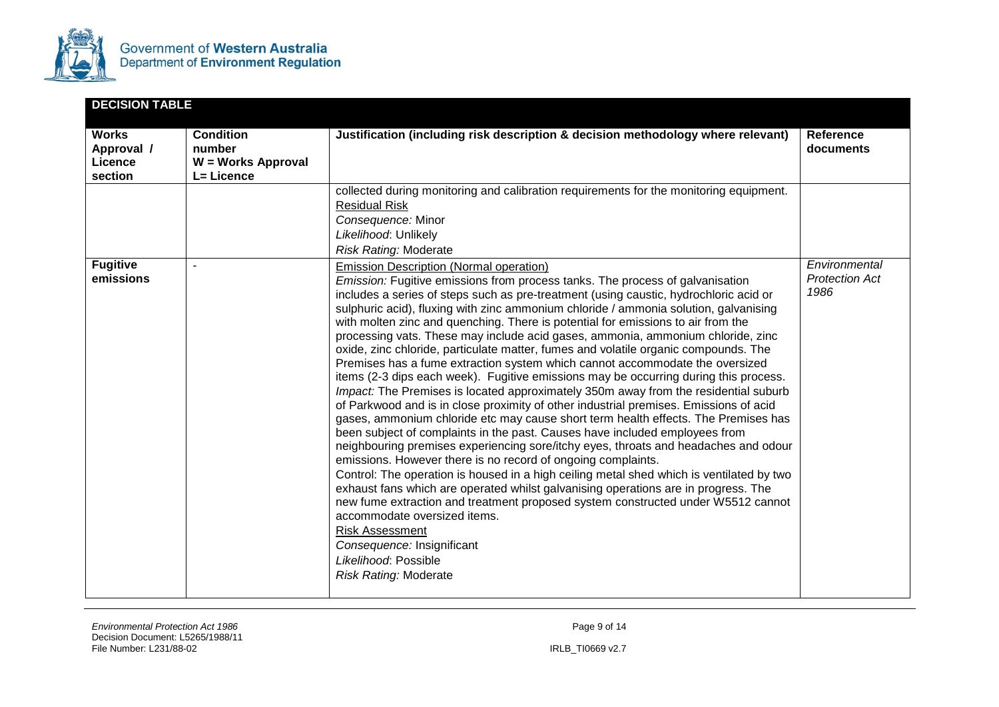

| <b>DECISION TABLE</b>                            |                                                                |                                                                                                                                                                                                                                                                                                                                                                                                                                                                                                                                                                                                                                                                                                                                                                                                                                                                                                                                                                                                                                                                                                                                                                                                                                                                                                                                                                                                                                                                                                                                                                                                                                                                                          |                                                |  |
|--------------------------------------------------|----------------------------------------------------------------|------------------------------------------------------------------------------------------------------------------------------------------------------------------------------------------------------------------------------------------------------------------------------------------------------------------------------------------------------------------------------------------------------------------------------------------------------------------------------------------------------------------------------------------------------------------------------------------------------------------------------------------------------------------------------------------------------------------------------------------------------------------------------------------------------------------------------------------------------------------------------------------------------------------------------------------------------------------------------------------------------------------------------------------------------------------------------------------------------------------------------------------------------------------------------------------------------------------------------------------------------------------------------------------------------------------------------------------------------------------------------------------------------------------------------------------------------------------------------------------------------------------------------------------------------------------------------------------------------------------------------------------------------------------------------------------|------------------------------------------------|--|
| <b>Works</b><br>Approval /<br>Licence<br>section | <b>Condition</b><br>number<br>W = Works Approval<br>L= Licence | Justification (including risk description & decision methodology where relevant)                                                                                                                                                                                                                                                                                                                                                                                                                                                                                                                                                                                                                                                                                                                                                                                                                                                                                                                                                                                                                                                                                                                                                                                                                                                                                                                                                                                                                                                                                                                                                                                                         | Reference<br>documents                         |  |
|                                                  |                                                                | collected during monitoring and calibration requirements for the monitoring equipment.<br><b>Residual Risk</b><br>Consequence: Minor<br>Likelihood: Unlikely<br><b>Risk Rating: Moderate</b>                                                                                                                                                                                                                                                                                                                                                                                                                                                                                                                                                                                                                                                                                                                                                                                                                                                                                                                                                                                                                                                                                                                                                                                                                                                                                                                                                                                                                                                                                             |                                                |  |
| <b>Fugitive</b><br>emissions                     |                                                                | <b>Emission Description (Normal operation)</b><br><i>Emission:</i> Fugitive emissions from process tanks. The process of galvanisation<br>includes a series of steps such as pre-treatment (using caustic, hydrochloric acid or<br>sulphuric acid), fluxing with zinc ammonium chloride / ammonia solution, galvanising<br>with molten zinc and quenching. There is potential for emissions to air from the<br>processing vats. These may include acid gases, ammonia, ammonium chloride, zinc<br>oxide, zinc chloride, particulate matter, fumes and volatile organic compounds. The<br>Premises has a fume extraction system which cannot accommodate the oversized<br>items (2-3 dips each week). Fugitive emissions may be occurring during this process.<br>Impact: The Premises is located approximately 350m away from the residential suburb<br>of Parkwood and is in close proximity of other industrial premises. Emissions of acid<br>gases, ammonium chloride etc may cause short term health effects. The Premises has<br>been subject of complaints in the past. Causes have included employees from<br>neighbouring premises experiencing sore/itchy eyes, throats and headaches and odour<br>emissions. However there is no record of ongoing complaints.<br>Control: The operation is housed in a high ceiling metal shed which is ventilated by two<br>exhaust fans which are operated whilst galvanising operations are in progress. The<br>new fume extraction and treatment proposed system constructed under W5512 cannot<br>accommodate oversized items.<br>Risk Assessment<br>Consequence: Insignificant<br>Likelihood: Possible<br><b>Risk Rating: Moderate</b> | Environmental<br><b>Protection Act</b><br>1986 |  |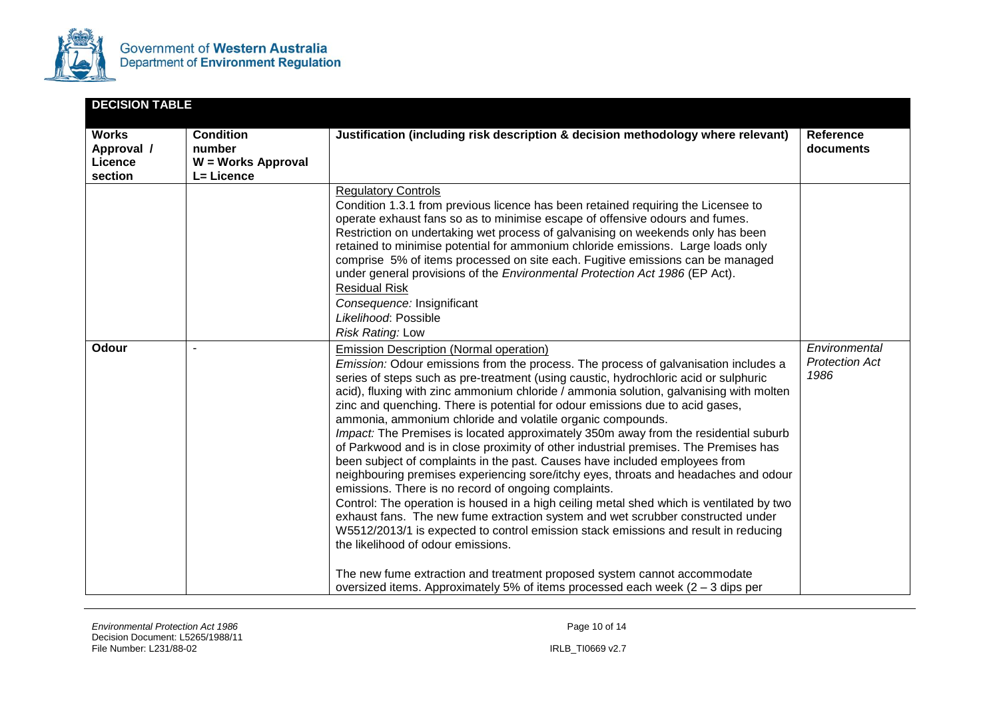

| <b>DECISION TABLE</b>                            |                                                                |                                                                                                                                                                                                                                                                                                                                                                                                                                                                                                                                                                                                                                                                                                                                                                                                                                                                                                                                                                                                                                                                                                                                                                                                                                                                                                                                                                 |                                                |
|--------------------------------------------------|----------------------------------------------------------------|-----------------------------------------------------------------------------------------------------------------------------------------------------------------------------------------------------------------------------------------------------------------------------------------------------------------------------------------------------------------------------------------------------------------------------------------------------------------------------------------------------------------------------------------------------------------------------------------------------------------------------------------------------------------------------------------------------------------------------------------------------------------------------------------------------------------------------------------------------------------------------------------------------------------------------------------------------------------------------------------------------------------------------------------------------------------------------------------------------------------------------------------------------------------------------------------------------------------------------------------------------------------------------------------------------------------------------------------------------------------|------------------------------------------------|
| <b>Works</b><br>Approval /<br>Licence<br>section | <b>Condition</b><br>number<br>W = Works Approval<br>L= Licence | Justification (including risk description & decision methodology where relevant)                                                                                                                                                                                                                                                                                                                                                                                                                                                                                                                                                                                                                                                                                                                                                                                                                                                                                                                                                                                                                                                                                                                                                                                                                                                                                | <b>Reference</b><br>documents                  |
|                                                  |                                                                | <b>Regulatory Controls</b><br>Condition 1.3.1 from previous licence has been retained requiring the Licensee to<br>operate exhaust fans so as to minimise escape of offensive odours and fumes.<br>Restriction on undertaking wet process of galvanising on weekends only has been<br>retained to minimise potential for ammonium chloride emissions. Large loads only<br>comprise 5% of items processed on site each. Fugitive emissions can be managed<br>under general provisions of the Environmental Protection Act 1986 (EP Act).<br><b>Residual Risk</b><br>Consequence: Insignificant<br>Likelihood: Possible<br>Risk Rating: Low                                                                                                                                                                                                                                                                                                                                                                                                                                                                                                                                                                                                                                                                                                                       |                                                |
| Odour                                            |                                                                | <b>Emission Description (Normal operation)</b><br>Emission: Odour emissions from the process. The process of galvanisation includes a<br>series of steps such as pre-treatment (using caustic, hydrochloric acid or sulphuric<br>acid), fluxing with zinc ammonium chloride / ammonia solution, galvanising with molten<br>zinc and quenching. There is potential for odour emissions due to acid gases,<br>ammonia, ammonium chloride and volatile organic compounds.<br>Impact: The Premises is located approximately 350m away from the residential suburb<br>of Parkwood and is in close proximity of other industrial premises. The Premises has<br>been subject of complaints in the past. Causes have included employees from<br>neighbouring premises experiencing sore/itchy eyes, throats and headaches and odour<br>emissions. There is no record of ongoing complaints.<br>Control: The operation is housed in a high ceiling metal shed which is ventilated by two<br>exhaust fans. The new fume extraction system and wet scrubber constructed under<br>W5512/2013/1 is expected to control emission stack emissions and result in reducing<br>the likelihood of odour emissions.<br>The new fume extraction and treatment proposed system cannot accommodate<br>oversized items. Approximately 5% of items processed each week $(2 - 3$ dips per | Environmental<br><b>Protection Act</b><br>1986 |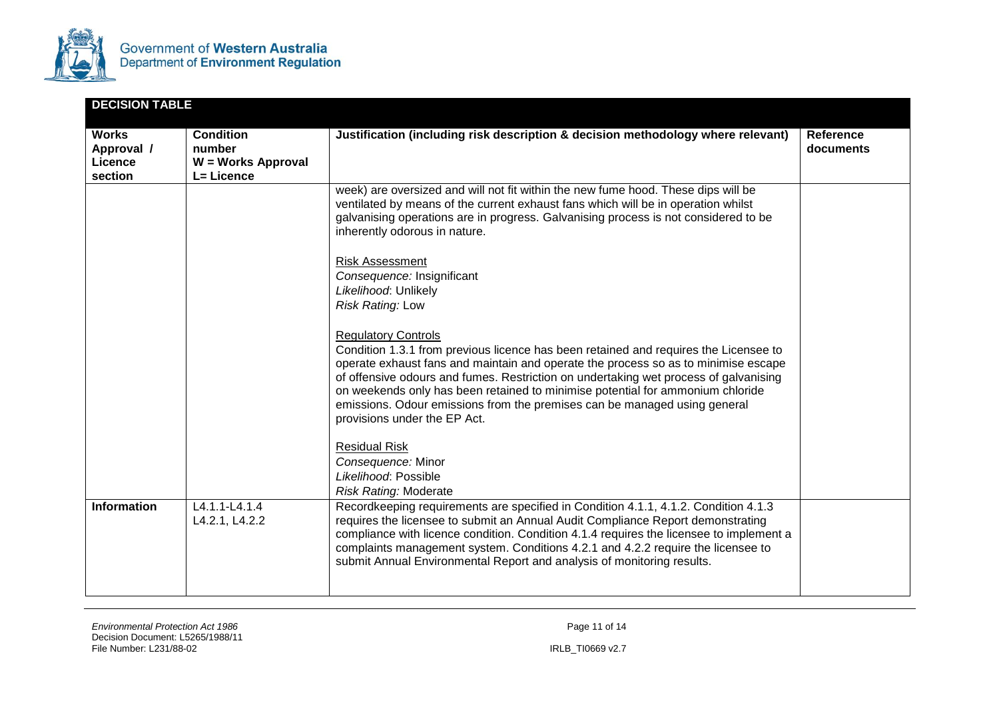

| <b>DECISION TABLE</b>                            |                                                                |                                                                                                                                                                                                                                                                                                                                                                                                                                                                                                 |                               |
|--------------------------------------------------|----------------------------------------------------------------|-------------------------------------------------------------------------------------------------------------------------------------------------------------------------------------------------------------------------------------------------------------------------------------------------------------------------------------------------------------------------------------------------------------------------------------------------------------------------------------------------|-------------------------------|
| <b>Works</b><br>Approval /<br>Licence<br>section | <b>Condition</b><br>number<br>W = Works Approval<br>L= Licence | Justification (including risk description & decision methodology where relevant)                                                                                                                                                                                                                                                                                                                                                                                                                | <b>Reference</b><br>documents |
|                                                  |                                                                | week) are oversized and will not fit within the new fume hood. These dips will be<br>ventilated by means of the current exhaust fans which will be in operation whilst<br>galvanising operations are in progress. Galvanising process is not considered to be<br>inherently odorous in nature.                                                                                                                                                                                                  |                               |
|                                                  |                                                                | <b>Risk Assessment</b><br>Consequence: Insignificant<br>Likelihood: Unlikely<br>Risk Rating: Low                                                                                                                                                                                                                                                                                                                                                                                                |                               |
|                                                  |                                                                | <b>Regulatory Controls</b><br>Condition 1.3.1 from previous licence has been retained and requires the Licensee to<br>operate exhaust fans and maintain and operate the process so as to minimise escape<br>of offensive odours and fumes. Restriction on undertaking wet process of galvanising<br>on weekends only has been retained to minimise potential for ammonium chloride<br>emissions. Odour emissions from the premises can be managed using general<br>provisions under the EP Act. |                               |
|                                                  |                                                                | <b>Residual Risk</b><br>Consequence: Minor<br>Likelihood: Possible<br>Risk Rating: Moderate                                                                                                                                                                                                                                                                                                                                                                                                     |                               |
| <b>Information</b>                               | L4.1.1-L4.1.4<br>L4.2.1, L4.2.2                                | Recordkeeping requirements are specified in Condition 4.1.1, 4.1.2. Condition 4.1.3<br>requires the licensee to submit an Annual Audit Compliance Report demonstrating<br>compliance with licence condition. Condition 4.1.4 requires the licensee to implement a<br>complaints management system. Conditions 4.2.1 and 4.2.2 require the licensee to<br>submit Annual Environmental Report and analysis of monitoring results.                                                                 |                               |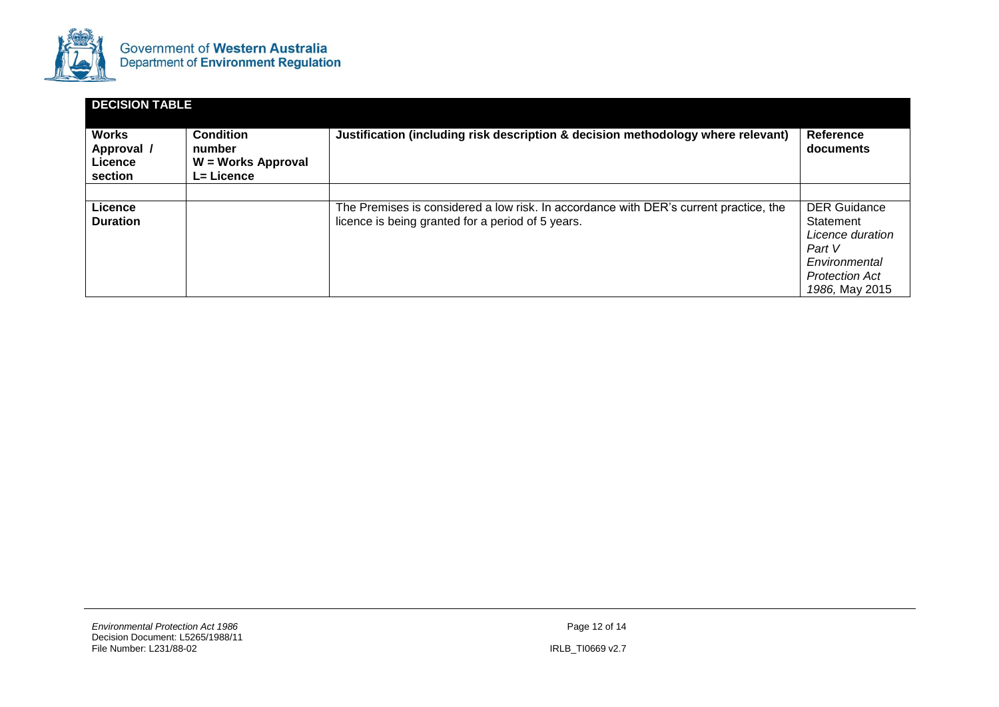

| <b>DECISION TABLE</b>                            |                                                                                                                                                           |                                                                                                                                            |                                                                                                                            |  |  |
|--------------------------------------------------|-----------------------------------------------------------------------------------------------------------------------------------------------------------|--------------------------------------------------------------------------------------------------------------------------------------------|----------------------------------------------------------------------------------------------------------------------------|--|--|
| <b>Works</b><br>Approval /<br>Licence<br>section | <b>Condition</b><br>Justification (including risk description & decision methodology where relevant)<br>number<br>W = Works Approval<br><b>L= Licence</b> |                                                                                                                                            | Reference<br>documents                                                                                                     |  |  |
|                                                  |                                                                                                                                                           |                                                                                                                                            |                                                                                                                            |  |  |
| Licence<br><b>Duration</b>                       |                                                                                                                                                           | The Premises is considered a low risk. In accordance with DER's current practice, the<br>licence is being granted for a period of 5 years. | <b>DER Guidance</b><br>Statement<br>Licence duration<br>Part V<br>Environmental<br><b>Protection Act</b><br>1986, May 2015 |  |  |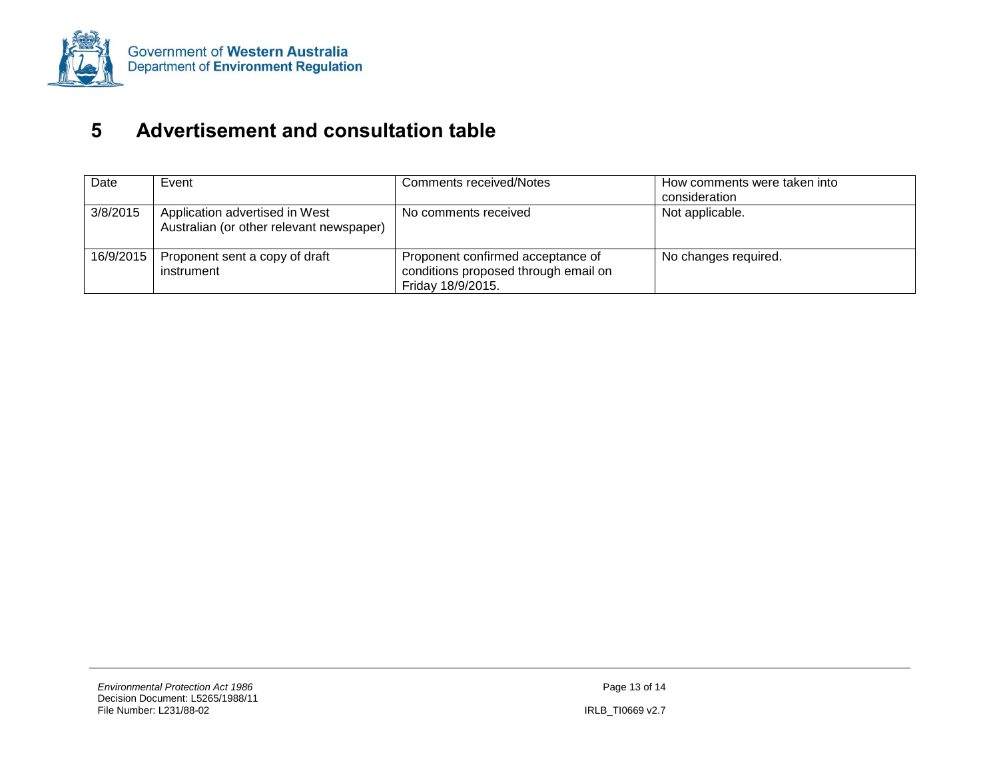

# **5 Advertisement and consultation table**

<span id="page-28-0"></span>

| Date      | Event                                                                      | <b>Comments received/Notes</b>                                                                 | How comments were taken into<br>consideration |
|-----------|----------------------------------------------------------------------------|------------------------------------------------------------------------------------------------|-----------------------------------------------|
| 3/8/2015  | Application advertised in West<br>Australian (or other relevant newspaper) | No comments received                                                                           | Not applicable.                               |
| 16/9/2015 | Proponent sent a copy of draft<br>instrument                               | Proponent confirmed acceptance of<br>conditions proposed through email on<br>Friday 18/9/2015. | No changes required.                          |